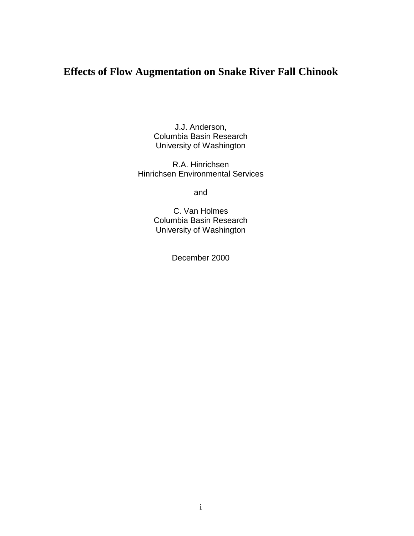# **Effects of Flow Augmentation on Snake River Fall Chinook**

J.J. Anderson, Columbia Basin Research University of Washington

R.A. Hinrichsen Hinrichsen Environmental Services

and

C. Van Holmes Columbia Basin Research University of Washington

December 2000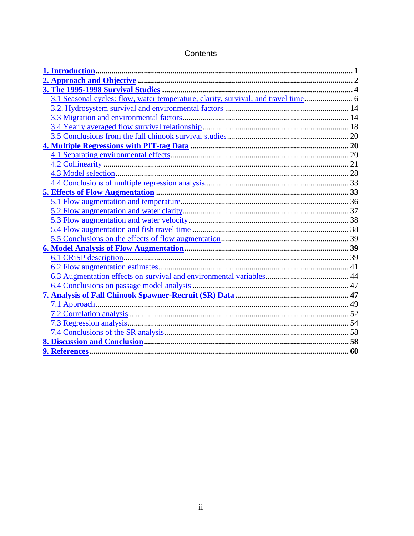| 3.1 Seasonal cycles: flow, water temperature, clarity, survival, and travel time 6 |  |
|------------------------------------------------------------------------------------|--|
|                                                                                    |  |
|                                                                                    |  |
|                                                                                    |  |
|                                                                                    |  |
|                                                                                    |  |
|                                                                                    |  |
|                                                                                    |  |
|                                                                                    |  |
|                                                                                    |  |
|                                                                                    |  |
|                                                                                    |  |
|                                                                                    |  |
|                                                                                    |  |
|                                                                                    |  |
|                                                                                    |  |
|                                                                                    |  |
|                                                                                    |  |
|                                                                                    |  |
|                                                                                    |  |
|                                                                                    |  |
|                                                                                    |  |
|                                                                                    |  |
|                                                                                    |  |
|                                                                                    |  |
|                                                                                    |  |
|                                                                                    |  |
|                                                                                    |  |

### Contents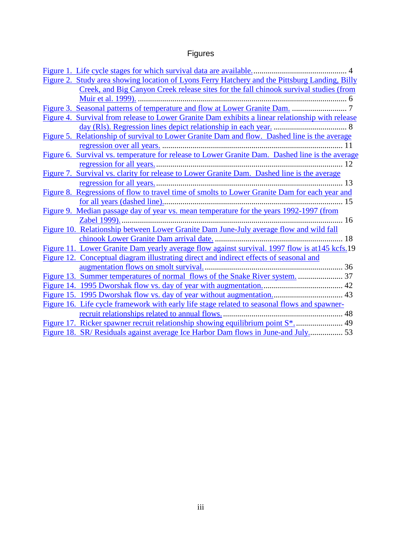# Figures

| Figure 2. Study area showing location of Lyons Ferry Hatchery and the Pittsburg Landing, Billy   |
|--------------------------------------------------------------------------------------------------|
| Creek, and Big Canyon Creek release sites for the fall chinook survival studies (from            |
|                                                                                                  |
|                                                                                                  |
| Figure 4. Survival from release to Lower Granite Dam exhibits a linear relationship with release |
|                                                                                                  |
| Figure 5. Relationship of survival to Lower Granite Dam and flow. Dashed line is the average     |
|                                                                                                  |
| Figure 6. Survival vs. temperature for release to Lower Granite Dam. Dashed line is the average  |
|                                                                                                  |
| Figure 7. Survival vs. clarity for release to Lower Granite Dam. Dashed line is the average      |
|                                                                                                  |
| Figure 8. Regressions of flow to travel time of smolts to Lower Granite Dam for each year and    |
|                                                                                                  |
| Figure 9. Median passage day of year vs. mean temperature for the years 1992-1997 (from          |
|                                                                                                  |
| Figure 10. Relationship between Lower Granite Dam June-July average flow and wild fall           |
|                                                                                                  |
| Figure 11. Lower Granite Dam yearly average flow against survival. 1997 flow is at 145 kcfs.19   |
| Figure 12. Conceptual diagram illustrating direct and indirect effects of seasonal and           |
|                                                                                                  |
| Figure 13. Summer temperatures of normal flows of the Snake River system.  37                    |
|                                                                                                  |
|                                                                                                  |
| Figure 16. Life cycle framework with early life stage related to seasonal flows and spawner-     |
|                                                                                                  |
|                                                                                                  |
| Figure 18. SR/ Residuals against average Ice Harbor Dam flows in June-and July 53                |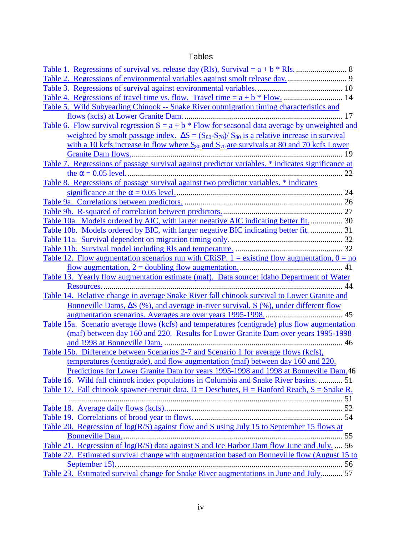### Tables

| Table 5. Wild Subyearling Chinook -- Snake River outmigration timing characteristics and                           |
|--------------------------------------------------------------------------------------------------------------------|
|                                                                                                                    |
| <u>Table 6. Flow survival regression <math>S = a + b *</math> Flow for seasonal data average by unweighted and</u> |
| weighted by smolt passage index. $\Delta S = (S_{80} - S_{70})/S_{80}$ is a relative increase in survival          |
| with a 10 kcfs increase in flow where $S_{80}$ and $S_{70}$ are survivals at 80 and 70 kcfs Lower                  |
|                                                                                                                    |
| Table 7. Regressions of passage survival against predictor variables. * indicates significance at                  |
|                                                                                                                    |
| <u>Table 8. Regressions of passage survival against two predictor variables. * indicates</u>                       |
|                                                                                                                    |
|                                                                                                                    |
|                                                                                                                    |
| Table 10a. Models ordered by AIC, with larger negative AIC indicating better fit 30                                |
| Table 10b. Models ordered by BIC, with larger negative BIC indicating better fit.  31                              |
|                                                                                                                    |
|                                                                                                                    |
| Table 12. Flow augmentation scenarios run with CRiSP. $1 =$ existing flow augmentation, $0 =$ no                   |
|                                                                                                                    |
| Table 13. Yearly flow augmentation estimate (maf). Data source: Idaho Department of Water                          |
|                                                                                                                    |
| Table 14. Relative change in average Snake River fall chinook survival to Lower Granite and                        |
| Bonneville Dams, $\Delta S$ (%), and average in-river survival, $S$ (%), under different flow                      |
|                                                                                                                    |
| Table 15a. Scenario average flows (kcfs) and temperatures (centigrade) plus flow augmentation                      |
| (maf) between day 160 and 220. Results for Lower Granite Dam over years 1995-1998                                  |
|                                                                                                                    |
| Table 15b. Difference between Scenarios 2-7 and Scenario 1 for average flows (kcfs),                               |
| temperatures (centigrade), and flow augmentation (maf) between day 160 and 220.                                    |
| Predictions for Lower Granite Dam for years 1995-1998 and 1998 at Bonneville Dam.46                                |
| Table 16. Wild fall chinook index populations in Columbia and Snake River basins.  51                              |
| Table 17. Fall chinook spawner-recruit data. D = Deschutes, $H =$ Hanford Reach, $S =$ Snake R.                    |
|                                                                                                                    |
|                                                                                                                    |
|                                                                                                                    |
| Table 20. Regression of log(R/S) against flow and S using July 15 to September 15 flows at                         |
|                                                                                                                    |
| Table 21. Regression of log(R/S) data against S and Ice Harbor Dam flow June and July.  56                         |
| Table 22. Estimated survival change with augmentation based on Bonneville flow (August 15 to                       |
|                                                                                                                    |
| Table 23. Estimated survival change for Snake River augmentations in June and July 57                              |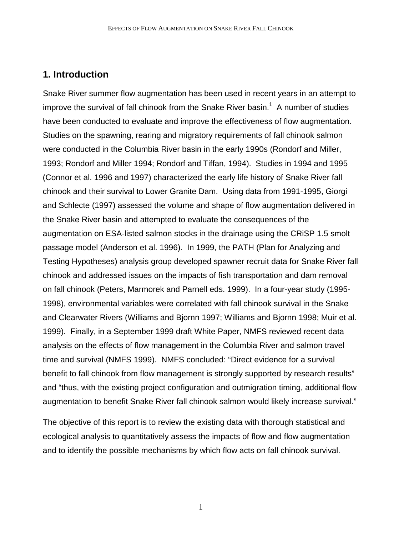## **1. Introduction**

Snake River summer flow augmentation has been used in recent years in an attempt to improve the survival of fall chinook from the Snake River basin.<sup>1</sup> A number of studies have been conducted to evaluate and improve the effectiveness of flow augmentation. Studies on the spawning, rearing and migratory requirements of fall chinook salmon were conducted in the Columbia River basin in the early 1990s (Rondorf and Miller, 1993; Rondorf and Miller 1994; Rondorf and Tiffan, 1994). Studies in 1994 and 1995 (Connor et al. 1996 and 1997) characterized the early life history of Snake River fall chinook and their survival to Lower Granite Dam. Using data from 1991-1995, Giorgi and Schlecte (1997) assessed the volume and shape of flow augmentation delivered in the Snake River basin and attempted to evaluate the consequences of the augmentation on ESA-listed salmon stocks in the drainage using the CRiSP 1.5 smolt passage model (Anderson et al. 1996). In 1999, the PATH (Plan for Analyzing and Testing Hypotheses) analysis group developed spawner recruit data for Snake River fall chinook and addressed issues on the impacts of fish transportation and dam removal on fall chinook (Peters, Marmorek and Parnell eds. 1999). In a four-year study (1995- 1998), environmental variables were correlated with fall chinook survival in the Snake and Clearwater Rivers (Williams and Bjornn 1997; Williams and Bjornn 1998; Muir et al. 1999). Finally, in a September 1999 draft White Paper, NMFS reviewed recent data analysis on the effects of flow management in the Columbia River and salmon travel time and survival (NMFS 1999). NMFS concluded: "Direct evidence for a survival benefit to fall chinook from flow management is strongly supported by research results" and "thus, with the existing project configuration and outmigration timing, additional flow augmentation to benefit Snake River fall chinook salmon would likely increase survival."

The objective of this report is to review the existing data with thorough statistical and ecological analysis to quantitatively assess the impacts of flow and flow augmentation and to identify the possible mechanisms by which flow acts on fall chinook survival.

1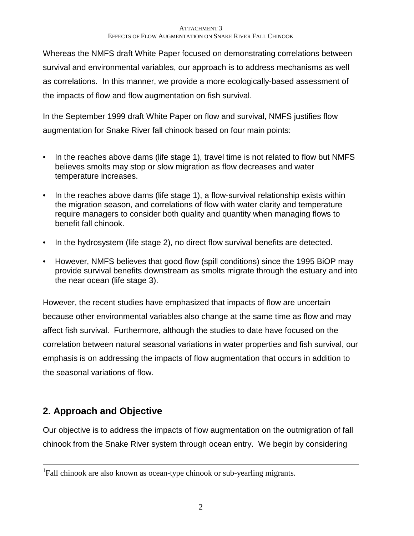Whereas the NMFS draft White Paper focused on demonstrating correlations between survival and environmental variables, our approach is to address mechanisms as well as correlations. In this manner, we provide a more ecologically-based assessment of the impacts of flow and flow augmentation on fish survival.

In the September 1999 draft White Paper on flow and survival, NMFS justifies flow augmentation for Snake River fall chinook based on four main points:

- In the reaches above dams (life stage 1), travel time is not related to flow but NMFS believes smolts may stop or slow migration as flow decreases and water temperature increases.
- In the reaches above dams (life stage 1), a flow-survival relationship exists within the migration season, and correlations of flow with water clarity and temperature require managers to consider both quality and quantity when managing flows to benefit fall chinook.
- In the hydrosystem (life stage 2), no direct flow survival benefits are detected.
- However, NMFS believes that good flow (spill conditions) since the 1995 BiOP may provide survival benefits downstream as smolts migrate through the estuary and into the near ocean (life stage 3).

However, the recent studies have emphasized that impacts of flow are uncertain because other environmental variables also change at the same time as flow and may affect fish survival. Furthermore, although the studies to date have focused on the correlation between natural seasonal variations in water properties and fish survival, our emphasis is on addressing the impacts of flow augmentation that occurs in addition to the seasonal variations of flow.

# **2. Approach and Objective**

1

Our objective is to address the impacts of flow augmentation on the outmigration of fall chinook from the Snake River system through ocean entry. We begin by considering

<sup>&</sup>lt;sup>1</sup>Fall chinook are also known as ocean-type chinook or sub-yearling migrants.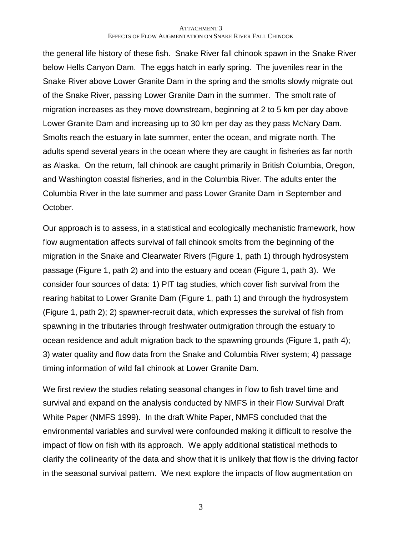the general life history of these fish. Snake River fall chinook spawn in the Snake River below Hells Canyon Dam. The eggs hatch in early spring. The juveniles rear in the Snake River above Lower Granite Dam in the spring and the smolts slowly migrate out of the Snake River, passing Lower Granite Dam in the summer. The smolt rate of migration increases as they move downstream, beginning at 2 to 5 km per day above Lower Granite Dam and increasing up to 30 km per day as they pass McNary Dam. Smolts reach the estuary in late summer, enter the ocean, and migrate north. The adults spend several years in the ocean where they are caught in fisheries as far north as Alaska. On the return, fall chinook are caught primarily in British Columbia, Oregon, and Washington coastal fisheries, and in the Columbia River. The adults enter the Columbia River in the late summer and pass Lower Granite Dam in September and October.

Our approach is to assess, in a statistical and ecologically mechanistic framework, how flow augmentation affects survival of fall chinook smolts from the beginning of the migration in the Snake and Clearwater Rivers (Figure 1, path 1) through hydrosystem passage (Figure 1, path 2) and into the estuary and ocean (Figure 1, path 3). We consider four sources of data: 1) PIT tag studies, which cover fish survival from the rearing habitat to Lower Granite Dam (Figure 1, path 1) and through the hydrosystem (Figure 1, path 2); 2) spawner-recruit data, which expresses the survival of fish from spawning in the tributaries through freshwater outmigration through the estuary to ocean residence and adult migration back to the spawning grounds (Figure 1, path 4); 3) water quality and flow data from the Snake and Columbia River system; 4) passage timing information of wild fall chinook at Lower Granite Dam.

We first review the studies relating seasonal changes in flow to fish travel time and survival and expand on the analysis conducted by NMFS in their Flow Survival Draft White Paper (NMFS 1999). In the draft White Paper, NMFS concluded that the environmental variables and survival were confounded making it difficult to resolve the impact of flow on fish with its approach. We apply additional statistical methods to clarify the collinearity of the data and show that it is unlikely that flow is the driving factor in the seasonal survival pattern. We next explore the impacts of flow augmentation on

3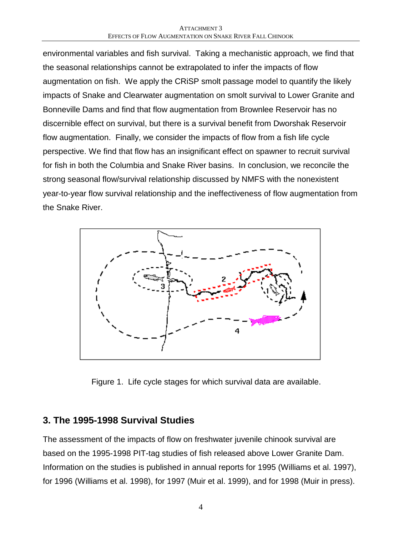environmental variables and fish survival. Taking a mechanistic approach, we find that the seasonal relationships cannot be extrapolated to infer the impacts of flow augmentation on fish. We apply the CRiSP smolt passage model to quantify the likely impacts of Snake and Clearwater augmentation on smolt survival to Lower Granite and Bonneville Dams and find that flow augmentation from Brownlee Reservoir has no discernible effect on survival, but there is a survival benefit from Dworshak Reservoir flow augmentation. Finally, we consider the impacts of flow from a fish life cycle perspective. We find that flow has an insignificant effect on spawner to recruit survival for fish in both the Columbia and Snake River basins. In conclusion, we reconcile the strong seasonal flow/survival relationship discussed by NMFS with the nonexistent year-to-year flow survival relationship and the ineffectiveness of flow augmentation from the Snake River.



Figure 1. Life cycle stages for which survival data are available.

### **3. The 1995-1998 Survival Studies**

The assessment of the impacts of flow on freshwater juvenile chinook survival are based on the 1995-1998 PIT-tag studies of fish released above Lower Granite Dam. Information on the studies is published in annual reports for 1995 (Williams et al. 1997), for 1996 (Williams et al. 1998), for 1997 (Muir et al. 1999), and for 1998 (Muir in press).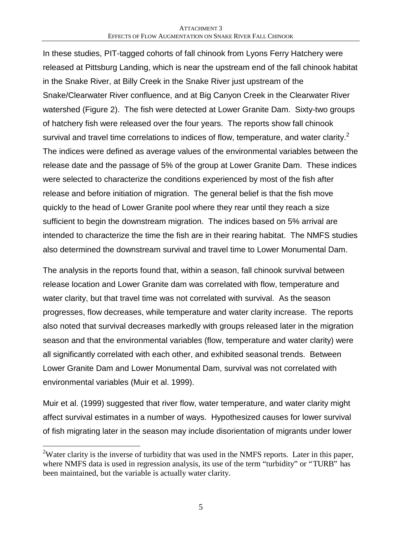In these studies, PIT-tagged cohorts of fall chinook from Lyons Ferry Hatchery were released at Pittsburg Landing, which is near the upstream end of the fall chinook habitat in the Snake River, at Billy Creek in the Snake River just upstream of the Snake/Clearwater River confluence, and at Big Canyon Creek in the Clearwater River watershed (Figure 2). The fish were detected at Lower Granite Dam. Sixty-two groups of hatchery fish were released over the four years. The reports show fall chinook survival and travel time correlations to indices of flow, temperature, and water clarity. $2$ The indices were defined as average values of the environmental variables between the release date and the passage of 5% of the group at Lower Granite Dam. These indices were selected to characterize the conditions experienced by most of the fish after release and before initiation of migration. The general belief is that the fish move quickly to the head of Lower Granite pool where they rear until they reach a size sufficient to begin the downstream migration. The indices based on 5% arrival are intended to characterize the time the fish are in their rearing habitat. The NMFS studies also determined the downstream survival and travel time to Lower Monumental Dam.

The analysis in the reports found that, within a season, fall chinook survival between release location and Lower Granite dam was correlated with flow, temperature and water clarity, but that travel time was not correlated with survival. As the season progresses, flow decreases, while temperature and water clarity increase. The reports also noted that survival decreases markedly with groups released later in the migration season and that the environmental variables (flow, temperature and water clarity) were all significantly correlated with each other, and exhibited seasonal trends. Between Lower Granite Dam and Lower Monumental Dam, survival was not correlated with environmental variables (Muir et al. 1999).

Muir et al. (1999) suggested that river flow, water temperature, and water clarity might affect survival estimates in a number of ways. Hypothesized causes for lower survival of fish migrating later in the season may include disorientation of migrants under lower

<u>.</u>

<sup>&</sup>lt;sup>2</sup>Water clarity is the inverse of turbidity that was used in the NMFS reports. Later in this paper, where NMFS data is used in regression analysis, its use of the term "turbidity" or "TURB" has been maintained, but the variable is actually water clarity.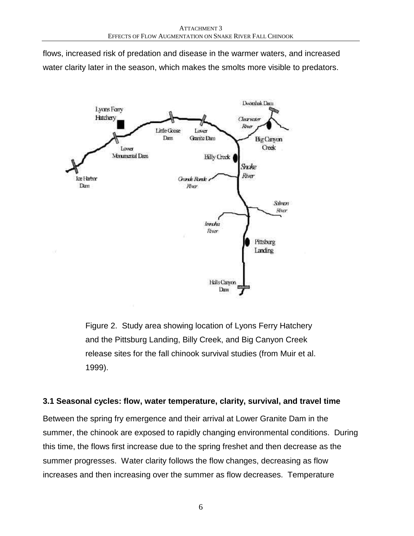flows, increased risk of predation and disease in the warmer waters, and increased water clarity later in the season, which makes the smolts more visible to predators.



Figure 2. Study area showing location of Lyons Ferry Hatchery and the Pittsburg Landing, Billy Creek, and Big Canyon Creek release sites for the fall chinook survival studies (from Muir et al. 1999).

### **3.1 Seasonal cycles: flow, water temperature, clarity, survival, and travel time**

Between the spring fry emergence and their arrival at Lower Granite Dam in the summer, the chinook are exposed to rapidly changing environmental conditions. During this time, the flows first increase due to the spring freshet and then decrease as the summer progresses. Water clarity follows the flow changes, decreasing as flow increases and then increasing over the summer as flow decreases. Temperature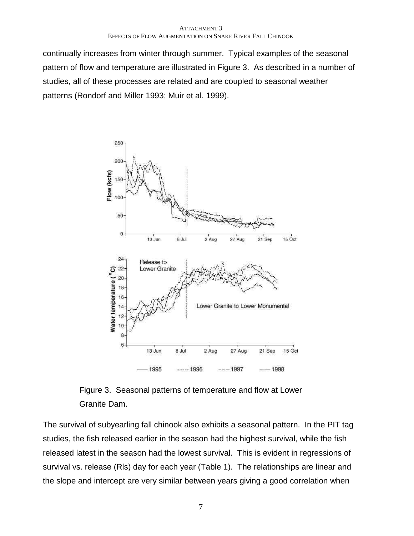continually increases from winter through summer. Typical examples of the seasonal pattern of flow and temperature are illustrated in Figure 3. As described in a number of studies, all of these processes are related and are coupled to seasonal weather patterns (Rondorf and Miller 1993; Muir et al. 1999).



Figure 3. Seasonal patterns of temperature and flow at Lower Granite Dam.

The survival of subyearling fall chinook also exhibits a seasonal pattern. In the PIT tag studies, the fish released earlier in the season had the highest survival, while the fish released latest in the season had the lowest survival. This is evident in regressions of survival vs. release (Rls) day for each year (Table 1). The relationships are linear and the slope and intercept are very similar between years giving a good correlation when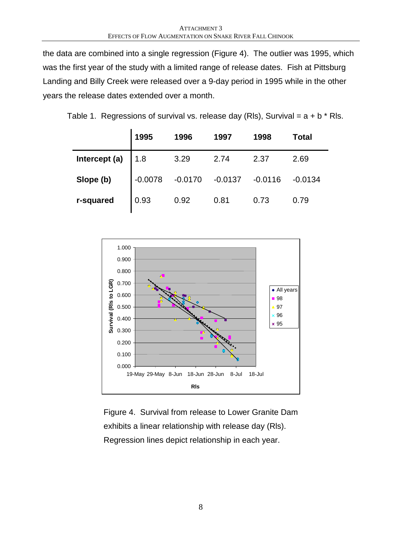the data are combined into a single regression (Figure 4). The outlier was 1995, which was the first year of the study with a limited range of release dates. Fish at Pittsburg Landing and Billy Creek were released over a 9-day period in 1995 while in the other years the release dates extended over a month.

|  | Table 1. Regressions of survival vs. release day (RIs), Survival = $a + b * R$ Is. |  |  |  |
|--|------------------------------------------------------------------------------------|--|--|--|
|  |                                                                                    |  |  |  |
|  |                                                                                    |  |  |  |

|               | 1995      | 1996      | 1997      | 1998      | <b>Total</b> |
|---------------|-----------|-----------|-----------|-----------|--------------|
| Intercept (a) | 1.8       | 3.29      | 2.74      | 2.37      | 2.69         |
| Slope (b)     | $-0.0078$ | $-0.0170$ | $-0.0137$ | $-0.0116$ | $-0.0134$    |
| r-squared     | 0.93      | 0.92      | 0.81      | 0.73      | 0.79         |



Figure 4. Survival from release to Lower Granite Dam exhibits a linear relationship with release day (Rls). Regression lines depict relationship in each year.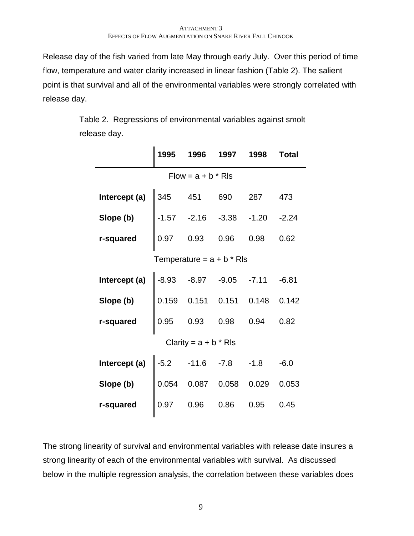Release day of the fish varied from late May through early July. Over this period of time flow, temperature and water clarity increased in linear fashion (Table 2). The salient point is that survival and all of the environmental variables were strongly correlated with release day.

> Table 2. Regressions of environmental variables against smolt release day.

|                      | 1995           | 1996                         | 1997    | 1998    | <b>Total</b> |  |  |
|----------------------|----------------|------------------------------|---------|---------|--------------|--|--|
| $Flow = a + b * Rls$ |                |                              |         |         |              |  |  |
| Intercept (a)        | 345 451        |                              | 690     | 287     | 473          |  |  |
| Slope (b)            |                | $-1.57 -2.16$                | $-3.38$ | $-1.20$ | $-2.24$      |  |  |
| r-squared            | 0.97           | 0.93                         | 0.96    | 0.98    | 0.62         |  |  |
|                      |                | Temperature = $a + b * R$ ls |         |         |              |  |  |
| Intercept (a)        |                | $-8.93 - 8.97$               | $-9.05$ | $-7.11$ | $-6.81$      |  |  |
| Slope (b)            | 0.159          | 0.151                        | 0.151   | 0.148   | 0.142        |  |  |
| r-squared            | 0.95           | 0.93                         | 0.98    | 0.94    | 0.82         |  |  |
|                      |                | Clarity = $a + b * R$ ls     |         |         |              |  |  |
| Intercept (a)        | $-5.2$ $-11.6$ |                              | $-7.8$  | $-1.8$  | $-6.0$       |  |  |
| Slope (b)            | 0.054          | 0.087                        | 0.058   | 0.029   | 0.053        |  |  |
| r-squared            | 0.97           | 0.96                         | 0.86    | 0.95    | 0.45         |  |  |

The strong linearity of survival and environmental variables with release date insures a strong linearity of each of the environmental variables with survival. As discussed below in the multiple regression analysis, the correlation between these variables does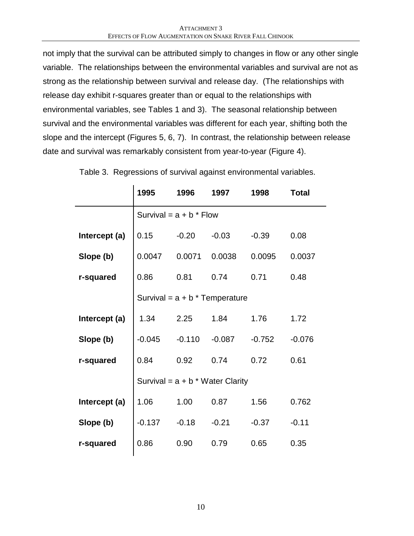not imply that the survival can be attributed simply to changes in flow or any other single variable. The relationships between the environmental variables and survival are not as strong as the relationship between survival and release day. (The relationships with release day exhibit r-squares greater than or equal to the relationships with environmental variables, see Tables 1 and 3). The seasonal relationship between survival and the environmental variables was different for each year, shifting both the slope and the intercept (Figures 5, 6, 7). In contrast, the relationship between release date and survival was remarkably consistent from year-to-year (Figure 4).

|               | 1995     | 1996                      | 1997                               | 1998     | <b>Total</b> |  |  |  |  |
|---------------|----------|---------------------------|------------------------------------|----------|--------------|--|--|--|--|
|               |          | Survival = $a + b *$ Flow |                                    |          |              |  |  |  |  |
| Intercept (a) | 0.15     | $-0.20$                   | $-0.03$                            | $-0.39$  | 0.08         |  |  |  |  |
| Slope (b)     | 0.0047   | 0.0071                    | 0.0038                             | 0.0095   | 0.0037       |  |  |  |  |
| r-squared     | 0.86     | 0.81                      | 0.74                               | 0.71     | 0.48         |  |  |  |  |
|               |          |                           | Survival = $a + b$ * Temperature   |          |              |  |  |  |  |
| Intercept (a) | 1.34     | 2.25                      | 1.84                               | 1.76     | 1.72         |  |  |  |  |
| Slope (b)     | $-0.045$ | $-0.110$                  | $-0.087$                           | $-0.752$ | $-0.076$     |  |  |  |  |
| r-squared     | 0.84     | 0.92                      | 0.74                               | 0.72     | 0.61         |  |  |  |  |
|               |          |                           | Survival = $a + b * Water$ Clarity |          |              |  |  |  |  |
| Intercept (a) | 1.06     | 1.00                      | 0.87                               | 1.56     | 0.762        |  |  |  |  |
| Slope (b)     | $-0.137$ | $-0.18$                   | $-0.21$                            | $-0.37$  | $-0.11$      |  |  |  |  |
| r-squared     | 0.86     | 0.90                      | 0.79                               | 0.65     | 0.35         |  |  |  |  |

Table 3. Regressions of survival against environmental variables.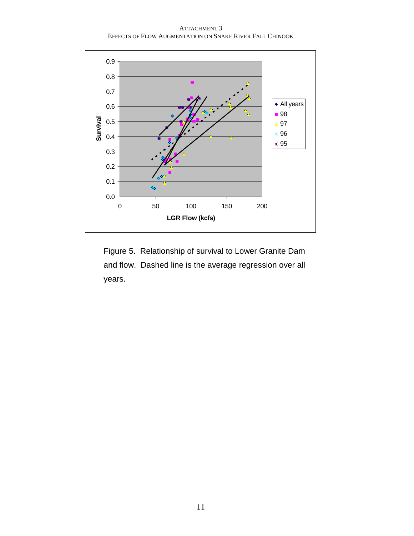ATTACHMENT 3 EFFECTS OF FLOW AUGMENTATION ON SNAKE RIVER FALL CHINOOK



Figure 5. Relationship of survival to Lower Granite Dam and flow. Dashed line is the average regression over all years.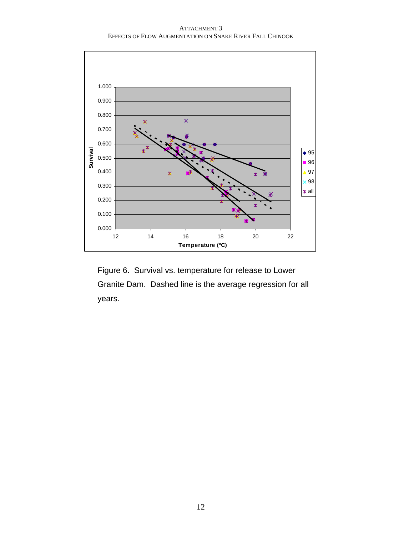ATTACHMENT 3 EFFECTS OF FLOW AUGMENTATION ON SNAKE RIVER FALL CHINOOK



Figure 6. Survival vs. temperature for release to Lower Granite Dam. Dashed line is the average regression for all years.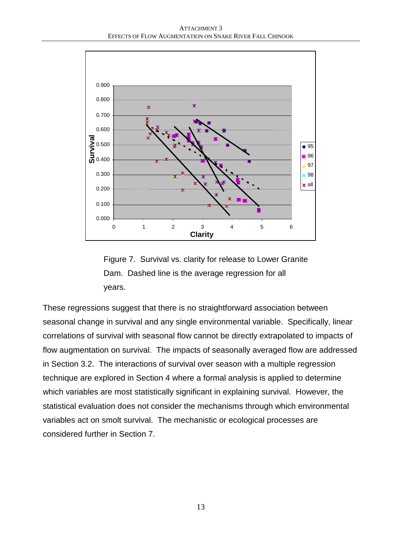

Figure 7. Survival vs. clarity for release to Lower Granite Dam. Dashed line is the average regression for all years.

These regressions suggest that there is no straightforward association between seasonal change in survival and any single environmental variable. Specifically, linear correlations of survival with seasonal flow cannot be directly extrapolated to impacts of flow augmentation on survival. The impacts of seasonally averaged flow are addressed in Section 3.2. The interactions of survival over season with a multiple regression technique are explored in Section 4 where a formal analysis is applied to determine which variables are most statistically significant in explaining survival. However, the statistical evaluation does not consider the mechanisms through which environmental variables act on smolt survival. The mechanistic or ecological processes are considered further in Section 7.

13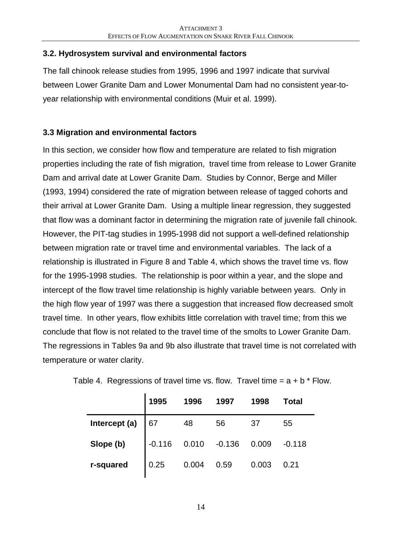### **3.2. Hydrosystem survival and environmental factors**

The fall chinook release studies from 1995, 1996 and 1997 indicate that survival between Lower Granite Dam and Lower Monumental Dam had no consistent year-toyear relationship with environmental conditions (Muir et al. 1999).

### **3.3 Migration and environmental factors**

In this section, we consider how flow and temperature are related to fish migration properties including the rate of fish migration, travel time from release to Lower Granite Dam and arrival date at Lower Granite Dam. Studies by Connor, Berge and Miller (1993, 1994) considered the rate of migration between release of tagged cohorts and their arrival at Lower Granite Dam. Using a multiple linear regression, they suggested that flow was a dominant factor in determining the migration rate of juvenile fall chinook. However, the PIT-tag studies in 1995-1998 did not support a well-defined relationship between migration rate or travel time and environmental variables. The lack of a relationship is illustrated in Figure 8 and Table 4, which shows the travel time vs. flow for the 1995-1998 studies. The relationship is poor within a year, and the slope and intercept of the flow travel time relationship is highly variable between years. Only in the high flow year of 1997 was there a suggestion that increased flow decreased smolt travel time. In other years, flow exhibits little correlation with travel time; from this we conclude that flow is not related to the travel time of the smolts to Lower Granite Dam. The regressions in Tables 9a and 9b also illustrate that travel time is not correlated with temperature or water clarity.

|               | 1995     | 1996  | 1997     | 1998  | Total    |
|---------------|----------|-------|----------|-------|----------|
| Intercept (a) | 67       | 48    | 56       | 37    | 55       |
| Slope (b)     | $-0.116$ | 0.010 | $-0.136$ | 0.009 | $-0.118$ |
| r-squared     | 0.25     | 0.004 | 0.59     | 0.003 | 0.21     |

Table 4. Regressions of travel time vs. flow. Travel time  $= a + b *$  Flow.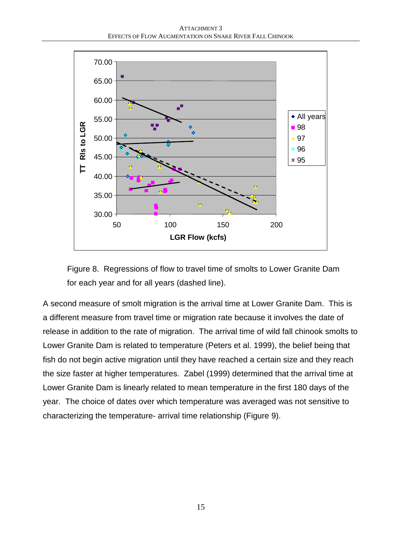

Figure 8. Regressions of flow to travel time of smolts to Lower Granite Dam for each year and for all years (dashed line).

A second measure of smolt migration is the arrival time at Lower Granite Dam. This is a different measure from travel time or migration rate because it involves the date of release in addition to the rate of migration. The arrival time of wild fall chinook smolts to Lower Granite Dam is related to temperature (Peters et al. 1999), the belief being that fish do not begin active migration until they have reached a certain size and they reach the size faster at higher temperatures. Zabel (1999) determined that the arrival time at Lower Granite Dam is linearly related to mean temperature in the first 180 days of the year. The choice of dates over which temperature was averaged was not sensitive to characterizing the temperature- arrival time relationship (Figure 9).

15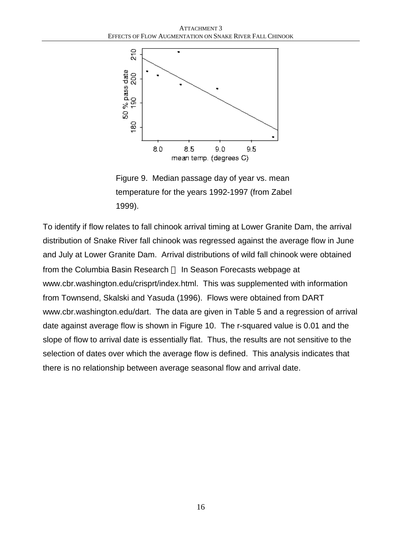

Figure 9. Median passage day of year vs. mean temperature for the years 1992-1997 (from Zabel 1999).

To identify if flow relates to fall chinook arrival timing at Lower Granite Dam, the arrival distribution of Snake River fall chinook was regressed against the average flow in June and July at Lower Granite Dam. Arrival distributions of wild fall chinook were obtained from the Columbia Basin Research — In Season Forecasts webpage at www.cbr.washington.edu/crisprt/index.html. This was supplemented with information from Townsend, Skalski and Yasuda (1996). Flows were obtained from DART www.cbr.washington.edu/dart. The data are given in Table 5 and a regression of arrival date against average flow is shown in Figure 10. The r-squared value is 0.01 and the slope of flow to arrival date is essentially flat. Thus, the results are not sensitive to the selection of dates over which the average flow is defined. This analysis indicates that there is no relationship between average seasonal flow and arrival date.

16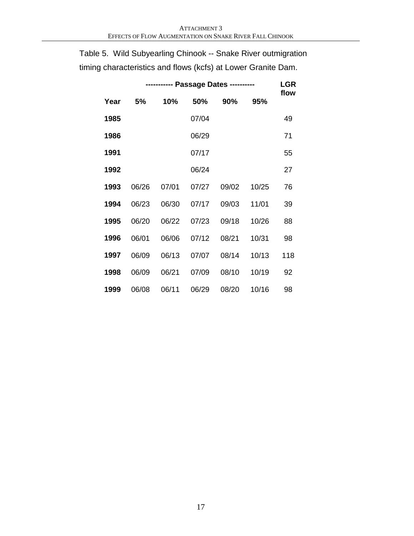| Year | 5%    | 10%   | 50%   | 90%   | 95%   | flow |
|------|-------|-------|-------|-------|-------|------|
| 1985 |       |       | 07/04 |       |       | 49   |
| 1986 |       |       | 06/29 |       |       | 71   |
| 1991 |       |       | 07/17 |       |       | 55   |
| 1992 |       |       | 06/24 |       |       | 27   |
| 1993 | 06/26 | 07/01 | 07/27 | 09/02 | 10/25 | 76   |
| 1994 | 06/23 | 06/30 | 07/17 | 09/03 | 11/01 | 39   |
| 1995 | 06/20 | 06/22 | 07/23 | 09/18 | 10/26 | 88   |
| 1996 | 06/01 | 06/06 | 07/12 | 08/21 | 10/31 | 98   |
| 1997 | 06/09 | 06/13 | 07/07 | 08/14 | 10/13 | 118  |
| 1998 | 06/09 | 06/21 | 07/09 | 08/10 | 10/19 | 92   |
| 1999 | 06/08 | 06/11 | 06/29 | 08/20 | 10/16 | 98   |

Table 5. Wild Subyearling Chinook -- Snake River outmigration timing characteristics and flows (kcfs) at Lower Granite Dam.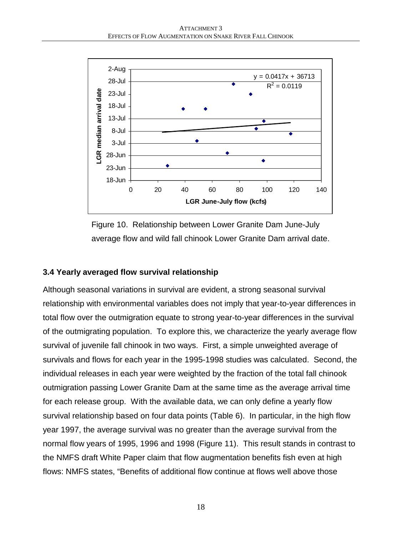

Figure 10. Relationship between Lower Granite Dam June-July average flow and wild fall chinook Lower Granite Dam arrival date.

### **3.4 Yearly averaged flow survival relationship**

Although seasonal variations in survival are evident, a strong seasonal survival relationship with environmental variables does not imply that year-to-year differences in total flow over the outmigration equate to strong year-to-year differences in the survival of the outmigrating population. To explore this, we characterize the yearly average flow survival of juvenile fall chinook in two ways. First, a simple unweighted average of survivals and flows for each year in the 1995-1998 studies was calculated. Second, the individual releases in each year were weighted by the fraction of the total fall chinook outmigration passing Lower Granite Dam at the same time as the average arrival time for each release group. With the available data, we can only define a yearly flow survival relationship based on four data points (Table 6). In particular, in the high flow year 1997, the average survival was no greater than the average survival from the normal flow years of 1995, 1996 and 1998 (Figure 11). This result stands in contrast to the NMFS draft White Paper claim that flow augmentation benefits fish even at high flows: NMFS states, "Benefits of additional flow continue at flows well above those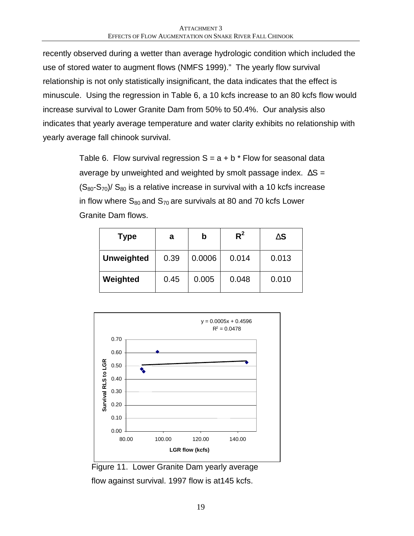recently observed during a wetter than average hydrologic condition which included the use of stored water to augment flows (NMFS 1999)." The yearly flow survival relationship is not only statistically insignificant, the data indicates that the effect is minuscule. Using the regression in Table 6, a 10 kcfs increase to an 80 kcfs flow would increase survival to Lower Granite Dam from 50% to 50.4%. Our analysis also indicates that yearly average temperature and water clarity exhibits no relationship with yearly average fall chinook survival.

> Table 6. Flow survival regression  $S = a + b *$  Flow for seasonal data average by unweighted and weighted by smolt passage index.  $\Delta S =$  $(S_{80}-S_{70})/S_{80}$  is a relative increase in survival with a 10 kcfs increase in flow where  $S_{80}$  and  $S_{70}$  are survivals at 80 and 70 kcfs Lower Granite Dam flows.

| <b>Type</b>       | a    | b      | $R^2$ | $\overline{\text{DS}}$ |
|-------------------|------|--------|-------|------------------------|
| <b>Unweighted</b> | 0.39 | 0.0006 | 0.014 | 0.013                  |
| Weighted          | 0.45 | 0.005  | 0.048 | 0.010                  |



Figure 11. Lower Granite Dam yearly average

flow against survival. 1997 flow is at145 kcfs.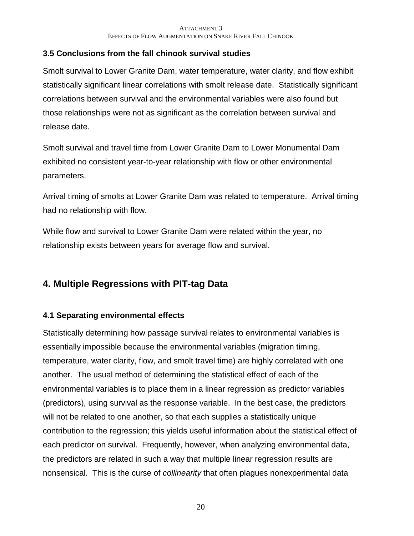### **3.5 Conclusions from the fall chinook survival studies**

Smolt survival to Lower Granite Dam, water temperature, water clarity, and flow exhibit statistically significant linear correlations with smolt release date. Statistically significant correlations between survival and the environmental variables were also found but those relationships were not as significant as the correlation between survival and release date.

Smolt survival and travel time from Lower Granite Dam to Lower Monumental Dam exhibited no consistent year-to-year relationship with flow or other environmental parameters.

Arrival timing of smolts at Lower Granite Dam was related to temperature. Arrival timing had no relationship with flow.

While flow and survival to Lower Granite Dam were related within the year, no relationship exists between years for average flow and survival.

# **4. Multiple Regressions with PIT-tag Data**

### **4.1 Separating environmental effects**

Statistically determining how passage survival relates to environmental variables is essentially impossible because the environmental variables (migration timing, temperature, water clarity, flow, and smolt travel time) are highly correlated with one another. The usual method of determining the statistical effect of each of the environmental variables is to place them in a linear regression as predictor variables (predictors), using survival as the response variable. In the best case, the predictors will not be related to one another, so that each supplies a statistically unique contribution to the regression; this yields useful information about the statistical effect of each predictor on survival. Frequently, however, when analyzing environmental data, the predictors are related in such a way that multiple linear regression results are nonsensical. This is the curse of *collinearity* that often plagues nonexperimental data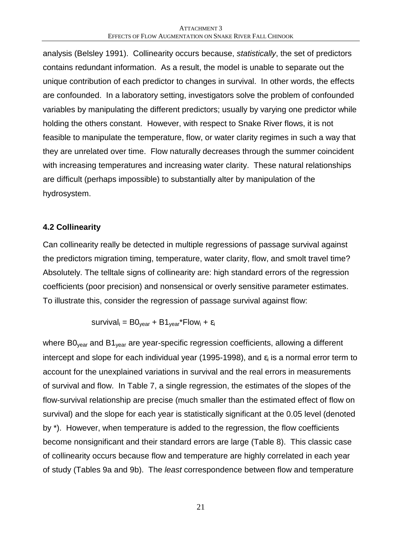analysis (Belsley 1991). Collinearity occurs because, *statistically*, the set of predictors contains redundant information. As a result, the model is unable to separate out the unique contribution of each predictor to changes in survival. In other words, the effects are confounded. In a laboratory setting, investigators solve the problem of confounded variables by manipulating the different predictors; usually by varying one predictor while holding the others constant. However, with respect to Snake River flows, it is not feasible to manipulate the temperature, flow, or water clarity regimes in such a way that they are unrelated over time. Flow naturally decreases through the summer coincident with increasing temperatures and increasing water clarity. These natural relationships are difficult (perhaps impossible) to substantially alter by manipulation of the hydrosystem.

### **4.2 Collinearity**

Can collinearity really be detected in multiple regressions of passage survival against the predictors migration timing, temperature, water clarity, flow, and smolt travel time? Absolutely. The telltale signs of collinearity are: high standard errors of the regression coefficients (poor precision) and nonsensical or overly sensitive parameter estimates. To illustrate this, consider the regression of passage survival against flow:

$$
survival_i = BO_{year} + B1_{year} * Flow_i + \varepsilon_i
$$

where  $BO_{\text{year}}$  and  $B1_{\text{year}}$  are year-specific regression coefficients, allowing a different intercept and slope for each individual year (1995-1998), and  $\varepsilon_i$  is a normal error term to account for the unexplained variations in survival and the real errors in measurements of survival and flow. In Table 7, a single regression, the estimates of the slopes of the flow-survival relationship are precise (much smaller than the estimated effect of flow on survival) and the slope for each year is statistically significant at the 0.05 level (denoted by \*). However, when temperature is added to the regression, the flow coefficients become nonsignificant and their standard errors are large (Table 8). This classic case of collinearity occurs because flow and temperature are highly correlated in each year of study (Tables 9a and 9b). The *least* correspondence between flow and temperature

21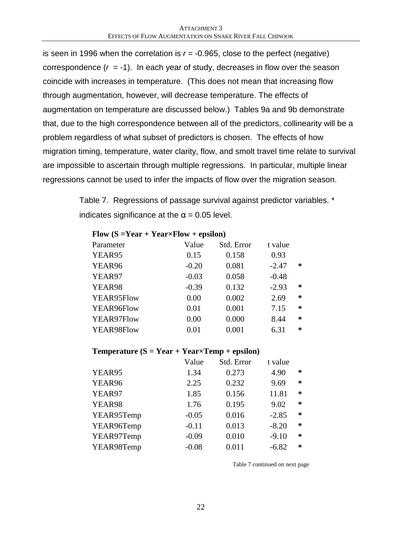is seen in 1996 when the correlation is  $r = -0.965$ , close to the perfect (negative) correspondence  $(r = -1)$ . In each year of study, decreases in flow over the season coincide with increases in temperature. (This does not mean that increasing flow through augmentation, however, will decrease temperature. The effects of augmentation on temperature are discussed below.) Tables 9a and 9b demonstrate that, due to the high correspondence between all of the predictors, collinearity will be a problem regardless of what subset of predictors is chosen. The effects of how migration timing, temperature, water clarity, flow, and smolt travel time relate to survival are impossible to ascertain through multiple regressions. In particular, multiple linear regressions cannot be used to infer the impacts of flow over the migration season.

> Table 7. Regressions of passage survival against predictor variables. \* indicates significance at the  $\alpha$  = 0.05 level.

| Flow $(S = Year + Year \times Flow + epsilon)$ |         |            |         |        |  |  |
|------------------------------------------------|---------|------------|---------|--------|--|--|
| Parameter                                      | Value   | Std. Error | t value |        |  |  |
| YEAR95                                         | 0.15    | 0.158      | 0.93    |        |  |  |
| YEAR96                                         | $-0.20$ | 0.081      | $-2.47$ | ∗      |  |  |
| YEAR97                                         | $-0.03$ | 0.058      | $-0.48$ |        |  |  |
| YEAR98                                         | $-0.39$ | 0.132      | $-2.93$ | ∗      |  |  |
| YEAR95Flow                                     | 0.00    | 0.002      | 2.69    | $\ast$ |  |  |
| YEAR96Flow                                     | 0.01    | 0.001      | 7.15    | $\ast$ |  |  |
| YEAR97Flow                                     | 0.00    | 0.000      | 8.44    | $\ast$ |  |  |
| YEAR98Flow                                     | 0.01    | 0.001      | 6.31    | $\ast$ |  |  |

# **Temperature (S = Year + Year×Temp + epsilon)**

|            | Value   | Std. Error | t value |        |
|------------|---------|------------|---------|--------|
| YEAR95     | 1.34    | 0.273      | 4.90    | ∗      |
| YEAR96     | 2.25    | 0.232      | 9.69    | ∗      |
| YEAR97     | 1.85    | 0.156      | 11.81   | $\ast$ |
| YEAR98     | 1.76    | 0.195      | 9.02    | $\ast$ |
| YEAR95Temp | $-0.05$ | 0.016      | $-2.85$ | $\ast$ |
| YEAR96Temp | $-0.11$ | 0.013      | $-8.20$ | $\ast$ |
| YEAR97Temp | $-0.09$ | 0.010      | $-9.10$ | ∗      |
| YEAR98Temp | $-0.08$ | 0.011      | $-6.82$ | $\ast$ |
|            |         |            |         |        |

Table 7 continued on next page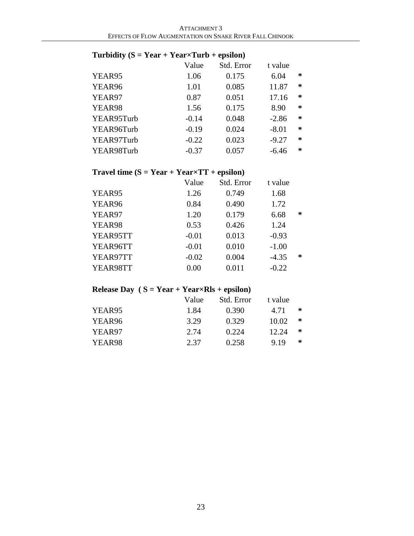### **Turbidity (S = Year + Year×Turb + epsilon)**

|            | Value   | Std. Error | t value |   |
|------------|---------|------------|---------|---|
| YEAR95     | 1.06    | 0.175      | 6.04    | ∗ |
| YEAR96     | 1.01    | 0.085      | 11.87   | ∗ |
| YEAR97     | 0.87    | 0.051      | 17.16   | ∗ |
| YEAR98     | 1.56    | 0.175      | 8.90    | ∗ |
| YEAR95Turb | $-0.14$ | 0.048      | $-2.86$ | ∗ |
| YEAR96Turb | $-0.19$ | 0.024      | $-8.01$ | ∗ |
| YEAR97Turb | $-0.22$ | 0.023      | $-9.27$ | ∗ |
| YEAR98Turb | $-0.37$ | 0.057      | $-6.46$ | ∗ |

### **Travel time (S = Year + Year×TT + epsilon)**

| Value   | Std. Error | t value |   |
|---------|------------|---------|---|
| 1.26    | 0.749      | 1.68    |   |
| 0.84    | 0.490      | 1.72    |   |
| 1.20    | 0.179      | 6.68    | ∗ |
| 0.53    | 0.426      | 1.24    |   |
| $-0.01$ | 0.013      | $-0.93$ |   |
| $-0.01$ | 0.010      | $-1.00$ |   |
| $-0.02$ | 0.004      | $-4.35$ | ∗ |
| 0.00    | 0.011      | $-0.22$ |   |
|         |            |         |   |

### **Release Day ( S = Year + Year×Rls + epsilon)**

|        | Value | Std. Error | t value |   |
|--------|-------|------------|---------|---|
| YEAR95 | 1.84  | 0.390      | 4.71    | ∗ |
| YEAR96 | 3.29  | 0.329      | 10.02   | ∗ |
| YEAR97 | 2.74  | 0.224      | 12.24   | ∗ |
| YEAR98 | 2.37  | 0.258      | 9.19    | ∗ |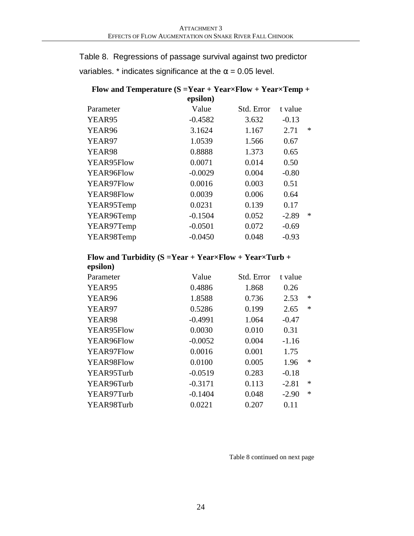Table 8. Regressions of passage survival against two predictor variables. \* indicates significance at the  $\alpha$  = 0.05 level.

| Flow and Temperature $(S = Year + Year \times Flow + Year \times Temp +$ |           |            |         |        |  |  |  |  |  |
|--------------------------------------------------------------------------|-----------|------------|---------|--------|--|--|--|--|--|
| epsilon)                                                                 |           |            |         |        |  |  |  |  |  |
| Parameter                                                                | Value     | Std. Error | t value |        |  |  |  |  |  |
| YEAR95                                                                   | $-0.4582$ | 3.632      | $-0.13$ |        |  |  |  |  |  |
| YEAR96                                                                   | 3.1624    | 1.167      | 2.71    | $\ast$ |  |  |  |  |  |
| YEAR97                                                                   | 1.0539    | 1.566      | 0.67    |        |  |  |  |  |  |
| YEAR98                                                                   | 0.8888    | 1.373      | 0.65    |        |  |  |  |  |  |
| YEAR95Flow                                                               | 0.0071    | 0.014      | 0.50    |        |  |  |  |  |  |
| YEAR96Flow                                                               | $-0.0029$ | 0.004      | $-0.80$ |        |  |  |  |  |  |
| YEAR97Flow                                                               | 0.0016    | 0.003      | 0.51    |        |  |  |  |  |  |
| YEAR98Flow                                                               | 0.0039    | 0.006      | 0.64    |        |  |  |  |  |  |
| YEAR95Temp                                                               | 0.0231    | 0.139      | 0.17    |        |  |  |  |  |  |
| YEAR96Temp                                                               | $-0.1504$ | 0.052      | $-2.89$ | $\ast$ |  |  |  |  |  |
| YEAR97Temp                                                               | $-0.0501$ | 0.072      | $-0.69$ |        |  |  |  |  |  |
| YEAR98Temp                                                               | $-0.0450$ | 0.048      | $-0.93$ |        |  |  |  |  |  |
|                                                                          |           |            |         |        |  |  |  |  |  |

### **Flow and Turbidity (S =Year + Year×Flow + Year×Turb + epsilon)**

| Parameter  | Value     | Std. Error | t value           |  |
|------------|-----------|------------|-------------------|--|
| YEAR95     | 0.4886    | 1.868      | 0.26              |  |
| YEAR96     | 1.8588    | 0.736      | $\ast$<br>2.53    |  |
| YEAR97     | 0.5286    | 0.199      | $\ast$<br>2.65    |  |
| YEAR98     | $-0.4991$ | 1.064      | $-0.47$           |  |
| YEAR95Flow | 0.0030    | 0.010      | 0.31              |  |
| YEAR96Flow | $-0.0052$ | 0.004      | $-1.16$           |  |
| YEAR97Flow | 0.0016    | 0.001      | 1.75              |  |
| YEAR98Flow | 0.0100    | 0.005      | $\ast$<br>1.96    |  |
| YEAR95Turb | $-0.0519$ | 0.283      | $-0.18$           |  |
| YEAR96Turb | $-0.3171$ | 0.113      | $\ast$<br>$-2.81$ |  |
| YEAR97Turb | $-0.1404$ | 0.048      | $\ast$<br>$-2.90$ |  |
| YEAR98Turb | 0.0221    | 0.207      | 0.11              |  |
|            |           |            |                   |  |

Table 8 continued on next page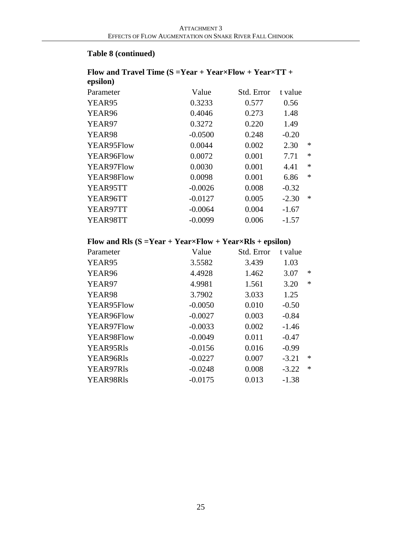#### **Table 8 (continued)**

### **Flow and Travel Time (S =Year + Year×Flow + Year×TT + epsilon)** Parameter Value Std. Error t value YEAR95 0.3233 0.577 0.56 YEAR96 0.4046 0.273 1.48 YEAR97 0.3272 0.220 1.49 YEAR98 -0.0500 0.248 -0.20 YEAR95Flow 0.0044 0.002 2.30 \* YEAR96Flow 0.0072 0.001 7.71 \* YEAR97Flow 0.0030 0.001 4.41 \* YEAR98Flow 0.0098 0.001 6.86 \* YEAR95TT -0.0026 0.008 -0.32 YEAR96TT -0.0127 0.005 -2.30 \* YEAR97TT -0.0064 0.004 -1.67 YEAR98TT -0.0099 0.006 -1.57

### **Flow and Rls (S =Year + Year×Flow + Year×Rls + epsilon)**

| Parameter  | Value     | Std. Error | t value |        |
|------------|-----------|------------|---------|--------|
| YEAR95     | 3.5582    | 3.439      | 1.03    |        |
| YEAR96     | 4.4928    | 1.462      | 3.07    | $\ast$ |
| YEAR97     | 4.9981    | 1.561      | 3.20    | $\ast$ |
| YEAR98     | 3.7902    | 3.033      | 1.25    |        |
| YEAR95Flow | $-0.0050$ | 0.010      | $-0.50$ |        |
| YEAR96Flow | $-0.0027$ | 0.003      | $-0.84$ |        |
| YEAR97Flow | $-0.0033$ | 0.002      | $-1.46$ |        |
| YEAR98Flow | $-0.0049$ | 0.011      | $-0.47$ |        |
| YEAR95Rls  | $-0.0156$ | 0.016      | $-0.99$ |        |
| YEAR96Rls  | $-0.0227$ | 0.007      | $-3.21$ | $\ast$ |
| YEAR97Rls  | $-0.0248$ | 0.008      | $-3.22$ | $\ast$ |
| YEAR98Rls  | $-0.0175$ | 0.013      | $-1.38$ |        |
|            |           |            |         |        |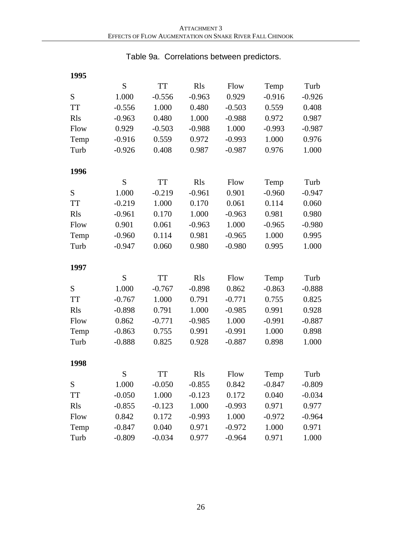# **1995** S TT Rls Flow Temp Turb S 1.000 -0.556 -0.963 0.929 -0.916 -0.926 TT -0.556 1.000 0.480 -0.503 0.559 0.408 Rls -0.963 0.480 1.000 -0.988 0.972 0.987 Flow 0.929 -0.503 -0.988 1.000 -0.993 -0.987 Temp -0.916 0.559 0.972 -0.993 1.000 0.976 Turb -0.926 0.408 0.987 -0.987 0.976 1.000 **1996** S TT Rls Flow Temp Turb S 1.000 -0.219 -0.961 0.901 -0.960 -0.947 TT -0.219 1.000 0.170 0.061 0.114 0.060 Rls -0.961 0.170 1.000 -0.963 0.981 0.980 Flow 0.901 0.061 -0.963 1.000 -0.965 -0.980 Temp -0.960 0.114 0.981 -0.965 1.000 0.995 Turb -0.947 0.060 0.980 -0.980 0.995 1.000 **1997** S TT Rls Flow Temp Turb S 1.000 -0.767 -0.898 0.862 -0.863 -0.888 TT -0.767 1.000 0.791 -0.771 0.755 0.825 Rls -0.898 0.791 1.000 -0.985 0.991 0.928 Flow 0.862 -0.771 -0.985 1.000 -0.991 -0.887 Temp -0.863 0.755 0.991 -0.991 1.000 0.898 Turb -0.888 0.825 0.928 -0.887 0.898 1.000 **1998** S TT Rls Flow Temp Turb S 1.000 -0.050 -0.855 0.842 -0.847 -0.809 TT -0.050 1.000 -0.123 0.172 0.040 -0.034 Rls -0.855 -0.123 1.000 -0.993 0.971 0.977 Flow 0.842 0.172 -0.993 1.000 -0.972 -0.964 Temp -0.847 0.040 0.971 -0.972 1.000 0.971 Turb -0.809 -0.034 0.977 -0.964 0.971 1.000

#### Table 9a. Correlations between predictors.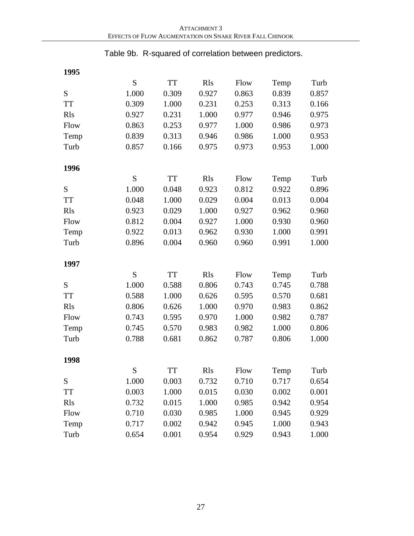Table 9b. R-squared of correlation between predictors.

| 1995        |       |           |             |       |       |       |
|-------------|-------|-----------|-------------|-------|-------|-------|
|             | S     | <b>TT</b> | <b>R</b> ls | Flow  | Temp  | Turb  |
| S           | 1.000 | 0.309     | 0.927       | 0.863 | 0.839 | 0.857 |
| <b>TT</b>   | 0.309 | 1.000     | 0.231       | 0.253 | 0.313 | 0.166 |
| <b>R</b> ls | 0.927 | 0.231     | 1.000       | 0.977 | 0.946 | 0.975 |
| Flow        | 0.863 | 0.253     | 0.977       | 1.000 | 0.986 | 0.973 |
| Temp        | 0.839 | 0.313     | 0.946       | 0.986 | 1.000 | 0.953 |
| Turb        | 0.857 | 0.166     | 0.975       | 0.973 | 0.953 | 1.000 |
| 1996        |       |           |             |       |       |       |
|             | S     | <b>TT</b> | <b>R</b> ls | Flow  | Temp  | Turb  |
| S           | 1.000 | 0.048     | 0.923       | 0.812 | 0.922 | 0.896 |
| <b>TT</b>   | 0.048 | 1.000     | 0.029       | 0.004 | 0.013 | 0.004 |
| <b>R</b> ls | 0.923 | 0.029     | 1.000       | 0.927 | 0.962 | 0.960 |
|             | 0.812 | 0.004     | 0.927       | 1.000 | 0.930 |       |
| Flow        |       | 0.013     |             |       | 1.000 | 0.960 |
| Temp        | 0.922 |           | 0.962       | 0.930 |       | 0.991 |
| Turb        | 0.896 | 0.004     | 0.960       | 0.960 | 0.991 | 1.000 |
| 1997        |       |           |             |       |       |       |
|             | S     | <b>TT</b> | <b>R</b> ls | Flow  | Temp  | Turb  |
| S           | 1.000 | 0.588     | 0.806       | 0.743 | 0.745 | 0.788 |
| <b>TT</b>   | 0.588 | 1.000     | 0.626       | 0.595 | 0.570 | 0.681 |
| <b>R</b> ls | 0.806 | 0.626     | 1.000       | 0.970 | 0.983 | 0.862 |
| Flow        | 0.743 | 0.595     | 0.970       | 1.000 | 0.982 | 0.787 |
| Temp        | 0.745 | 0.570     | 0.983       | 0.982 | 1.000 | 0.806 |
| Turb        | 0.788 | 0.681     | 0.862       | 0.787 | 0.806 | 1.000 |
| 1998        |       |           |             |       |       |       |
|             | S     | TT        | <b>R</b> ls | Flow  | Temp  | Turb  |
| S           | 1.000 | 0.003     | 0.732       | 0.710 | 0.717 | 0.654 |
| <b>TT</b>   | 0.003 | 1.000     | 0.015       | 0.030 | 0.002 | 0.001 |
| <b>R</b> ls | 0.732 | 0.015     | 1.000       | 0.985 | 0.942 | 0.954 |
| Flow        | 0.710 | 0.030     | 0.985       | 1.000 | 0.945 | 0.929 |
| Temp        | 0.717 | 0.002     | 0.942       | 0.945 | 1.000 | 0.943 |
| Turb        | 0.654 | 0.001     | 0.954       | 0.929 | 0.943 | 1.000 |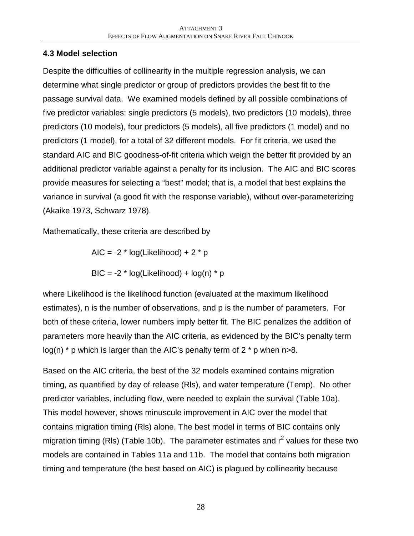### **4.3 Model selection**

Despite the difficulties of collinearity in the multiple regression analysis, we can determine what single predictor or group of predictors provides the best fit to the passage survival data. We examined models defined by all possible combinations of five predictor variables: single predictors (5 models), two predictors (10 models), three predictors (10 models), four predictors (5 models), all five predictors (1 model) and no predictors (1 model), for a total of 32 different models. For fit criteria, we used the standard AIC and BIC goodness-of-fit criteria which weigh the better fit provided by an additional predictor variable against a penalty for its inclusion. The AIC and BIC scores provide measures for selecting a "best" model; that is, a model that best explains the variance in survival (a good fit with the response variable), without over-parameterizing (Akaike 1973, Schwarz 1978).

Mathematically, these criteria are described by

AIC =  $-2$  \* log(Likelihood) + 2 \* p

BIC =  $-2$  \* log(Likelihood) + log(n) \* p

where Likelihood is the likelihood function (evaluated at the maximum likelihood estimates), n is the number of observations, and p is the number of parameters. For both of these criteria, lower numbers imply better fit. The BIC penalizes the addition of parameters more heavily than the AIC criteria, as evidenced by the BIC's penalty term  $log(n)$  \* p which is larger than the AIC's penalty term of 2  $*$  p when n>8.

Based on the AIC criteria, the best of the 32 models examined contains migration timing, as quantified by day of release (Rls), and water temperature (Temp). No other predictor variables, including flow, were needed to explain the survival (Table 10a). This model however, shows minuscule improvement in AIC over the model that contains migration timing (Rls) alone. The best model in terms of BIC contains only migration timing (RIs) (Table 10b). The parameter estimates and  $r^2$  values for these two models are contained in Tables 11a and 11b. The model that contains both migration timing and temperature (the best based on AIC) is plagued by collinearity because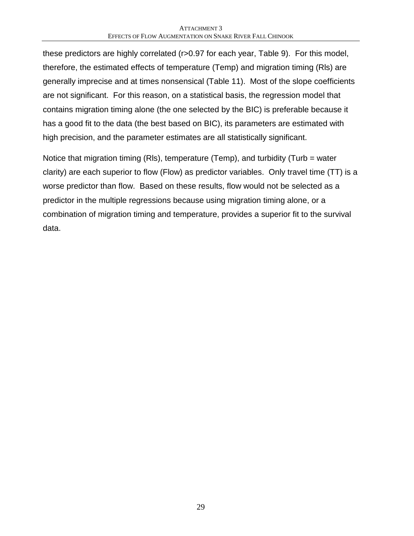these predictors are highly correlated (r>0.97 for each year, Table 9). For this model, therefore, the estimated effects of temperature (Temp) and migration timing (Rls) are generally imprecise and at times nonsensical (Table 11). Most of the slope coefficients are not significant. For this reason, on a statistical basis, the regression model that contains migration timing alone (the one selected by the BIC) is preferable because it has a good fit to the data (the best based on BIC), its parameters are estimated with high precision, and the parameter estimates are all statistically significant.

Notice that migration timing (Rls), temperature (Temp), and turbidity (Turb = water clarity) are each superior to flow (Flow) as predictor variables. Only travel time (TT) is a worse predictor than flow. Based on these results, flow would not be selected as a predictor in the multiple regressions because using migration timing alone, or a combination of migration timing and temperature, provides a superior fit to the survival data.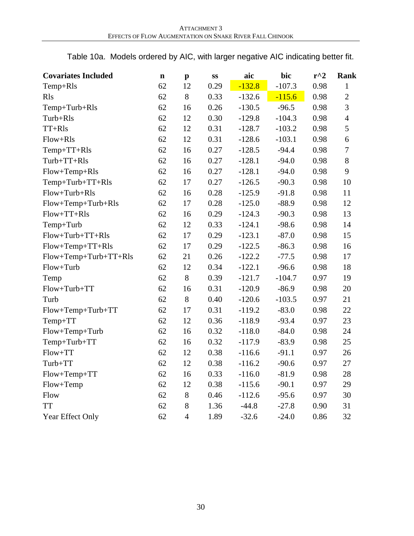Table 10a. Models ordered by AIC, with larger negative AIC indicating better fit.

| <b>Covariates Included</b> | $\mathbf n$ | $\mathbf{p}$   | SS   | aic      | bic      | $r^{\wedge}2$ | <b>Rank</b>    |
|----------------------------|-------------|----------------|------|----------|----------|---------------|----------------|
| Temp+Rls                   | 62          | 12             | 0.29 | $-132.8$ | $-107.3$ | 0.98          | 1              |
| <b>R</b> ls                | 62          | 8              | 0.33 | $-132.6$ | $-115.6$ | 0.98          | $\overline{2}$ |
| Temp+Turb+Rls              | 62          | 16             | 0.26 | $-130.5$ | $-96.5$  | 0.98          | 3              |
| Turb+Rls                   | 62          | 12             | 0.30 | $-129.8$ | $-104.3$ | 0.98          | $\overline{4}$ |
| TT+Rls                     | 62          | 12             | 0.31 | $-128.7$ | $-103.2$ | 0.98          | 5              |
| Flow+Rls                   | 62          | 12             | 0.31 | $-128.6$ | $-103.1$ | 0.98          | 6              |
| Temp+TT+Rls                | 62          | 16             | 0.27 | $-128.5$ | $-94.4$  | 0.98          | $\tau$         |
| Turb+TT+Rls                | 62          | 16             | 0.27 | $-128.1$ | $-94.0$  | 0.98          | 8              |
| Flow+Temp+Rls              | 62          | 16             | 0.27 | $-128.1$ | $-94.0$  | 0.98          | 9              |
| Temp+Turb+TT+Rls           | 62          | 17             | 0.27 | $-126.5$ | $-90.3$  | 0.98          | 10             |
| Flow+Turb+Rls              | 62          | 16             | 0.28 | $-125.9$ | $-91.8$  | 0.98          | 11             |
| Flow+Temp+Turb+Rls         | 62          | 17             | 0.28 | $-125.0$ | $-88.9$  | 0.98          | 12             |
| Flow+TT+Rls                | 62          | 16             | 0.29 | $-124.3$ | $-90.3$  | 0.98          | 13             |
| Temp+Turb                  | 62          | 12             | 0.33 | $-124.1$ | $-98.6$  | 0.98          | 14             |
| Flow+Turb+TT+Rls           | 62          | 17             | 0.29 | $-123.1$ | $-87.0$  | 0.98          | 15             |
| Flow+Temp+TT+Rls           | 62          | 17             | 0.29 | $-122.5$ | $-86.3$  | 0.98          | 16             |
| Flow+Temp+Turb+TT+Rls      | 62          | 21             | 0.26 | $-122.2$ | $-77.5$  | 0.98          | 17             |
| Flow+Turb                  | 62          | 12             | 0.34 | $-122.1$ | $-96.6$  | 0.98          | 18             |
| Temp                       | 62          | 8              | 0.39 | $-121.7$ | $-104.7$ | 0.97          | 19             |
| Flow+Turb+TT               | 62          | 16             | 0.31 | $-120.9$ | $-86.9$  | 0.98          | 20             |
| Turb                       | 62          | $8\,$          | 0.40 | $-120.6$ | $-103.5$ | 0.97          | 21             |
| Flow+Temp+Turb+TT          | 62          | 17             | 0.31 | $-119.2$ | $-83.0$  | 0.98          | 22             |
| Temp+TT                    | 62          | 12             | 0.36 | $-118.9$ | $-93.4$  | 0.97          | 23             |
| Flow+Temp+Turb             | 62          | 16             | 0.32 | $-118.0$ | $-84.0$  | 0.98          | 24             |
| Temp+Turb+TT               | 62          | 16             | 0.32 | $-117.9$ | $-83.9$  | 0.98          | 25             |
| Flow+TT                    | 62          | 12             | 0.38 | $-116.6$ | $-91.1$  | 0.97          | 26             |
| Turb+TT                    | 62          | 12             | 0.38 | $-116.2$ | $-90.6$  | 0.97          | 27             |
| Flow+Temp+TT               | 62          | 16             | 0.33 | $-116.0$ | $-81.9$  | 0.98          | 28             |
| Flow+Temp                  | 62          | 12             | 0.38 | $-115.6$ | $-90.1$  | 0.97          | 29             |
| Flow                       | 62          | 8              | 0.46 | $-112.6$ | $-95.6$  | 0.97          | 30             |
| <b>TT</b>                  | 62          | 8              | 1.36 | $-44.8$  | $-27.8$  | 0.90          | 31             |
| Year Effect Only           | 62          | $\overline{4}$ | 1.89 | $-32.6$  | $-24.0$  | 0.86          | 32             |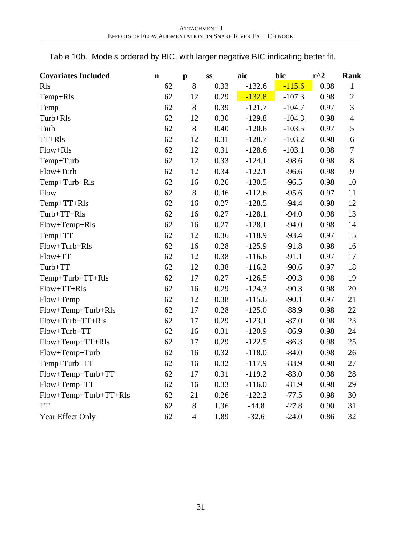| Table 10b. Models ordered by BIC, with larger negative BIC indicating better fit. |  |  |  |  |
|-----------------------------------------------------------------------------------|--|--|--|--|
|                                                                                   |  |  |  |  |

| <b>Covariates Included</b> | $\mathbf n$ | $\mathbf{p}$   | SS   | aic      | bic      | $r^2$ | Rank           |
|----------------------------|-------------|----------------|------|----------|----------|-------|----------------|
| <b>R</b> ls                | 62          | 8              | 0.33 | $-132.6$ | $-115.6$ | 0.98  | $\mathbf{1}$   |
| Temp+Rls                   | 62          | 12             | 0.29 | $-132.8$ | $-107.3$ | 0.98  | $\sqrt{2}$     |
| Temp                       | 62          | $8\,$          | 0.39 | $-121.7$ | $-104.7$ | 0.97  | 3              |
| Turb+Rls                   | 62          | 12             | 0.30 | $-129.8$ | $-104.3$ | 0.98  | $\overline{4}$ |
| Turb                       | 62          | $8\,$          | 0.40 | $-120.6$ | $-103.5$ | 0.97  | $\mathfrak{S}$ |
| $TT+Rls$                   | 62          | 12             | 0.31 | $-128.7$ | $-103.2$ | 0.98  | 6              |
| Flow+Rls                   | 62          | 12             | 0.31 | $-128.6$ | $-103.1$ | 0.98  | $\overline{7}$ |
| Temp+Turb                  | 62          | 12             | 0.33 | $-124.1$ | $-98.6$  | 0.98  | 8              |
| Flow+Turb                  | 62          | 12             | 0.34 | $-122.1$ | $-96.6$  | 0.98  | $\mathbf{9}$   |
| Temp+Turb+Rls              | 62          | 16             | 0.26 | $-130.5$ | $-96.5$  | 0.98  | 10             |
| Flow                       | 62          | $8\,$          | 0.46 | $-112.6$ | $-95.6$  | 0.97  | 11             |
| Temp+TT+Rls                | 62          | 16             | 0.27 | $-128.5$ | $-94.4$  | 0.98  | 12             |
| Turb+TT+Rls                | 62          | 16             | 0.27 | $-128.1$ | $-94.0$  | 0.98  | 13             |
| Flow+Temp+Rls              | 62          | 16             | 0.27 | $-128.1$ | $-94.0$  | 0.98  | 14             |
| Temp+TT                    | 62          | 12             | 0.36 | $-118.9$ | $-93.4$  | 0.97  | 15             |
| Flow+Turb+Rls              | 62          | 16             | 0.28 | $-125.9$ | $-91.8$  | 0.98  | 16             |
| Flow+TT                    | 62          | 12             | 0.38 | $-116.6$ | $-91.1$  | 0.97  | 17             |
| Turb+TT                    | 62          | 12             | 0.38 | $-116.2$ | $-90.6$  | 0.97  | 18             |
| $Temp+Turb+TT+Rls$         | 62          | 17             | 0.27 | $-126.5$ | $-90.3$  | 0.98  | 19             |
| Flow+TT+Rls                | 62          | 16             | 0.29 | $-124.3$ | $-90.3$  | 0.98  | 20             |
| Flow+Temp                  | 62          | 12             | 0.38 | $-115.6$ | $-90.1$  | 0.97  | 21             |
| Flow+Temp+Turb+Rls         | 62          | 17             | 0.28 | $-125.0$ | $-88.9$  | 0.98  | 22             |
| Flow+Turb+TT+Rls           | 62          | 17             | 0.29 | $-123.1$ | $-87.0$  | 0.98  | 23             |
| Flow+Turb+TT               | 62          | 16             | 0.31 | $-120.9$ | $-86.9$  | 0.98  | 24             |
| Flow+Temp+TT+Rls           | 62          | 17             | 0.29 | $-122.5$ | $-86.3$  | 0.98  | 25             |
| Flow+Temp+Turb             | 62          | 16             | 0.32 | $-118.0$ | $-84.0$  | 0.98  | 26             |
| Temp+Turb+TT               | 62          | 16             | 0.32 | $-117.9$ | $-83.9$  | 0.98  | 27             |
| Flow+Temp+Turb+TT          | 62          | 17             | 0.31 | $-119.2$ | $-83.0$  | 0.98  | 28             |
| Flow+Temp+TT               | 62          | 16             | 0.33 | $-116.0$ | $-81.9$  | 0.98  | 29             |
| Flow+Temp+Turb+TT+Rls      | 62          | 21             | 0.26 | $-122.2$ | $-77.5$  | 0.98  | 30             |
| <b>TT</b>                  | 62          | $8\,$          | 1.36 | $-44.8$  | $-27.8$  | 0.90  | 31             |
| Year Effect Only           | 62          | $\overline{4}$ | 1.89 | $-32.6$  | $-24.0$  | 0.86  | 32             |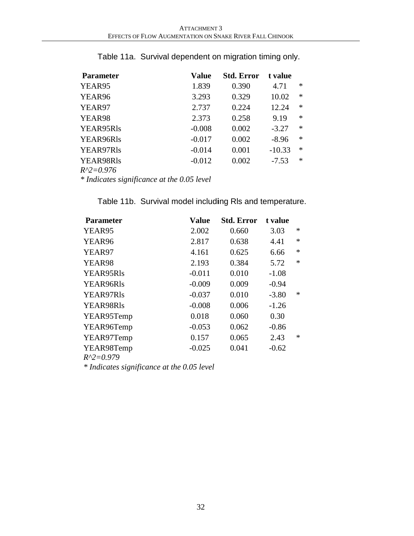| <b>Parameter</b> | Value    | Std. Error | t value  |        |
|------------------|----------|------------|----------|--------|
| YEAR95           | 1.839    | 0.390      | 4.71     | $\ast$ |
| YEAR96           | 3.293    | 0.329      | 10.02    | $\ast$ |
| YEAR97           | 2.737    | 0.224      | 12.24    | $\ast$ |
| YEAR98           | 2.373    | 0.258      | 9.19     | $\ast$ |
| YEAR95Rls        | $-0.008$ | 0.002      | $-3.27$  | $\ast$ |
| YEAR96Rls        | $-0.017$ | 0.002      | $-8.96$  | $\ast$ |
| YEAR97Rls        | $-0.014$ | 0.001      | $-10.33$ | $\ast$ |
| YEAR98Rls        | $-0.012$ | 0.002      | $-7.53$  | $\ast$ |
| $R^2=0.976$      |          |            |          |        |

Table 11a. Survival dependent on migration timing only.

*\* Indicates significance at the 0.05 level*

| Value    | Std. Error | t value |        |
|----------|------------|---------|--------|
| 2.002    | 0.660      | 3.03    | $\ast$ |
| 2.817    | 0.638      | 4.41    | $\ast$ |
| 4.161    | 0.625      | 6.66    | $\ast$ |
| 2.193    | 0.384      | 5.72    | $\ast$ |
| $-0.011$ | 0.010      | $-1.08$ |        |
| $-0.009$ | 0.009      | $-0.94$ |        |
| $-0.037$ | 0.010      | $-3.80$ | $\ast$ |
| $-0.008$ | 0.006      | $-1.26$ |        |
| 0.018    | 0.060      | 0.30    |        |
| $-0.053$ | 0.062      | $-0.86$ |        |
| 0.157    | 0.065      | 2.43    | $\ast$ |
| $-0.025$ | 0.041      | $-0.62$ |        |
|          |            |         |        |

Table 11b. Survival model includ**i**ng Rls and temperature.

*\* Indicates significance at the 0.05 level*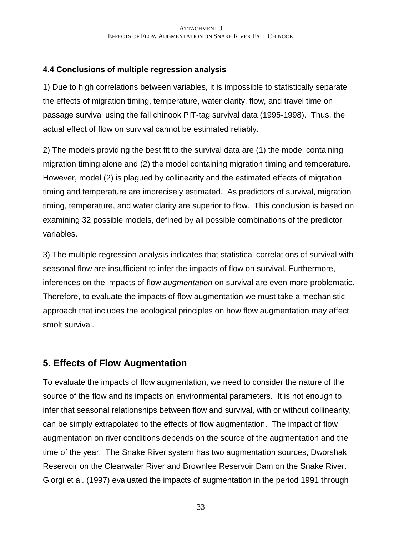### **4.4 Conclusions of multiple regression analysis**

1) Due to high correlations between variables, it is impossible to statistically separate the effects of migration timing, temperature, water clarity, flow, and travel time on passage survival using the fall chinook PIT-tag survival data (1995-1998). Thus, the actual effect of flow on survival cannot be estimated reliably.

2) The models providing the best fit to the survival data are (1) the model containing migration timing alone and (2) the model containing migration timing and temperature. However, model (2) is plagued by collinearity and the estimated effects of migration timing and temperature are imprecisely estimated. As predictors of survival, migration timing, temperature, and water clarity are superior to flow. This conclusion is based on examining 32 possible models, defined by all possible combinations of the predictor variables.

3) The multiple regression analysis indicates that statistical correlations of survival with seasonal flow are insufficient to infer the impacts of flow on survival. Furthermore, inferences on the impacts of flow *augmentation* on survival are even more problematic. Therefore, to evaluate the impacts of flow augmentation we must take a mechanistic approach that includes the ecological principles on how flow augmentation may affect smolt survival.

# **5. Effects of Flow Augmentation**

To evaluate the impacts of flow augmentation, we need to consider the nature of the source of the flow and its impacts on environmental parameters. It is not enough to infer that seasonal relationships between flow and survival, with or without collinearity, can be simply extrapolated to the effects of flow augmentation. The impact of flow augmentation on river conditions depends on the source of the augmentation and the time of the year. The Snake River system has two augmentation sources, Dworshak Reservoir on the Clearwater River and Brownlee Reservoir Dam on the Snake River. Giorgi et al. (1997) evaluated the impacts of augmentation in the period 1991 through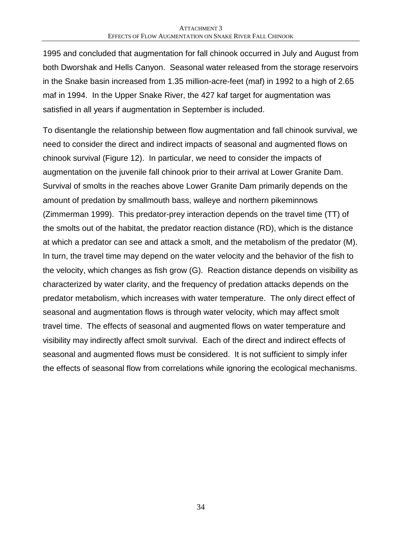1995 and concluded that augmentation for fall chinook occurred in July and August from both Dworshak and Hells Canyon. Seasonal water released from the storage reservoirs in the Snake basin increased from 1.35 million-acre-feet (maf) in 1992 to a high of 2.65 maf in 1994. In the Upper Snake River, the 427 kaf target for augmentation was satisfied in all years if augmentation in September is included.

To disentangle the relationship between flow augmentation and fall chinook survival, we need to consider the direct and indirect impacts of seasonal and augmented flows on chinook survival (Figure 12). In particular, we need to consider the impacts of augmentation on the juvenile fall chinook prior to their arrival at Lower Granite Dam. Survival of smolts in the reaches above Lower Granite Dam primarily depends on the amount of predation by smallmouth bass, walleye and northern pikeminnows (Zimmerman 1999). This predator-prey interaction depends on the travel time (TT) of the smolts out of the habitat, the predator reaction distance (RD), which is the distance at which a predator can see and attack a smolt, and the metabolism of the predator (M). In turn, the travel time may depend on the water velocity and the behavior of the fish to the velocity, which changes as fish grow (G). Reaction distance depends on visibility as characterized by water clarity, and the frequency of predation attacks depends on the predator metabolism, which increases with water temperature. The only direct effect of seasonal and augmentation flows is through water velocity, which may affect smolt travel time. The effects of seasonal and augmented flows on water temperature and visibility may indirectly affect smolt survival. Each of the direct and indirect effects of seasonal and augmented flows must be considered. It is not sufficient to simply infer the effects of seasonal flow from correlations while ignoring the ecological mechanisms.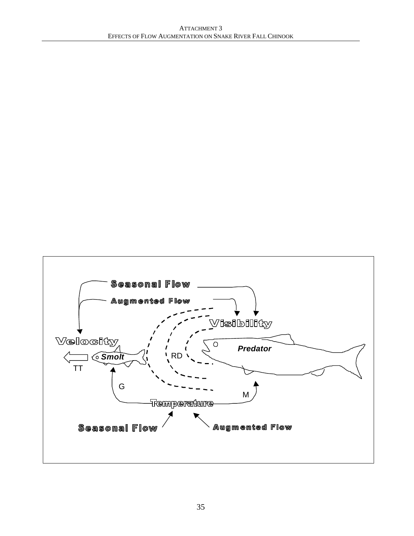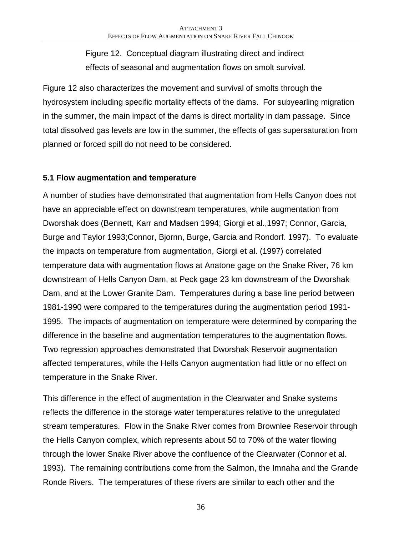Figure 12. Conceptual diagram illustrating direct and indirect effects of seasonal and augmentation flows on smolt survival.

Figure 12 also characterizes the movement and survival of smolts through the hydrosystem including specific mortality effects of the dams. For subyearling migration in the summer, the main impact of the dams is direct mortality in dam passage. Since total dissolved gas levels are low in the summer, the effects of gas supersaturation from planned or forced spill do not need to be considered.

### **5.1 Flow augmentation and temperature**

A number of studies have demonstrated that augmentation from Hells Canyon does not have an appreciable effect on downstream temperatures, while augmentation from Dworshak does (Bennett, Karr and Madsen 1994; Giorgi et al.,1997; Connor, Garcia, Burge and Taylor 1993;Connor, Bjornn, Burge, Garcia and Rondorf. 1997). To evaluate the impacts on temperature from augmentation, Giorgi et al. (1997) correlated temperature data with augmentation flows at Anatone gage on the Snake River, 76 km downstream of Hells Canyon Dam, at Peck gage 23 km downstream of the Dworshak Dam, and at the Lower Granite Dam. Temperatures during a base line period between 1981-1990 were compared to the temperatures during the augmentation period 1991- 1995. The impacts of augmentation on temperature were determined by comparing the difference in the baseline and augmentation temperatures to the augmentation flows. Two regression approaches demonstrated that Dworshak Reservoir augmentation affected temperatures, while the Hells Canyon augmentation had little or no effect on temperature in the Snake River.

This difference in the effect of augmentation in the Clearwater and Snake systems reflects the difference in the storage water temperatures relative to the unregulated stream temperatures. Flow in the Snake River comes from Brownlee Reservoir through the Hells Canyon complex, which represents about 50 to 70% of the water flowing through the lower Snake River above the confluence of the Clearwater (Connor et al. 1993). The remaining contributions come from the Salmon, the Imnaha and the Grande Ronde Rivers. The temperatures of these rivers are similar to each other and the

36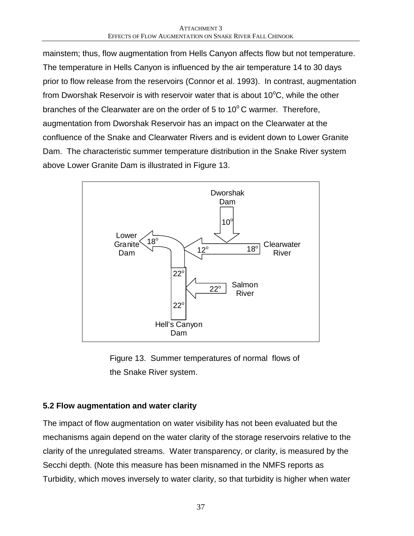mainstem; thus, flow augmentation from Hells Canyon affects flow but not temperature. The temperature in Hells Canyon is influenced by the air temperature 14 to 30 days prior to flow release from the reservoirs (Connor et al. 1993). In contrast, augmentation from Dworshak Reservoir is with reservoir water that is about  $10^{\circ}$ C, while the other branches of the Clearwater are on the order of 5 to  $10^{\circ}$ C warmer. Therefore, augmentation from Dworshak Reservoir has an impact on the Clearwater at the confluence of the Snake and Clearwater Rivers and is evident down to Lower Granite Dam. The characteristic summer temperature distribution in the Snake River system above Lower Granite Dam is illustrated in Figure 13.



Figure 13. Summer temperatures of normal flows of the Snake River system.

### **5.2 Flow augmentation and water clarity**

The impact of flow augmentation on water visibility has not been evaluated but the mechanisms again depend on the water clarity of the storage reservoirs relative to the clarity of the unregulated streams. Water transparency, or clarity, is measured by the Secchi depth. (Note this measure has been misnamed in the NMFS reports as Turbidity, which moves inversely to water clarity, so that turbidity is higher when water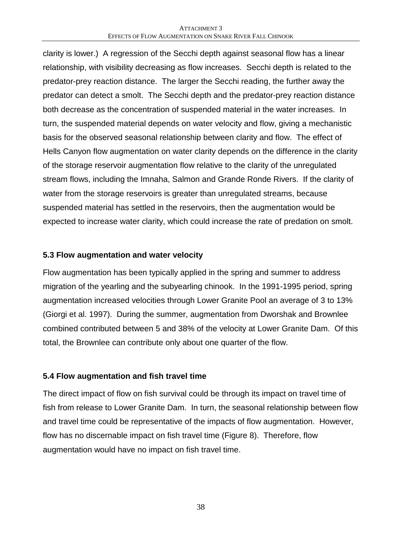clarity is lower.) A regression of the Secchi depth against seasonal flow has a linear relationship, with visibility decreasing as flow increases. Secchi depth is related to the predator-prey reaction distance. The larger the Secchi reading, the further away the predator can detect a smolt. The Secchi depth and the predator-prey reaction distance both decrease as the concentration of suspended material in the water increases. In turn, the suspended material depends on water velocity and flow, giving a mechanistic basis for the observed seasonal relationship between clarity and flow. The effect of Hells Canyon flow augmentation on water clarity depends on the difference in the clarity of the storage reservoir augmentation flow relative to the clarity of the unregulated stream flows, including the Imnaha, Salmon and Grande Ronde Rivers. If the clarity of water from the storage reservoirs is greater than unregulated streams, because suspended material has settled in the reservoirs, then the augmentation would be expected to increase water clarity, which could increase the rate of predation on smolt.

### **5.3 Flow augmentation and water velocity**

Flow augmentation has been typically applied in the spring and summer to address migration of the yearling and the subyearling chinook. In the 1991-1995 period, spring augmentation increased velocities through Lower Granite Pool an average of 3 to 13% (Giorgi et al. 1997). During the summer, augmentation from Dworshak and Brownlee combined contributed between 5 and 38% of the velocity at Lower Granite Dam. Of this total, the Brownlee can contribute only about one quarter of the flow.

### **5.4 Flow augmentation and fish travel time**

The direct impact of flow on fish survival could be through its impact on travel time of fish from release to Lower Granite Dam. In turn, the seasonal relationship between flow and travel time could be representative of the impacts of flow augmentation. However, flow has no discernable impact on fish travel time (Figure 8). Therefore, flow augmentation would have no impact on fish travel time.

38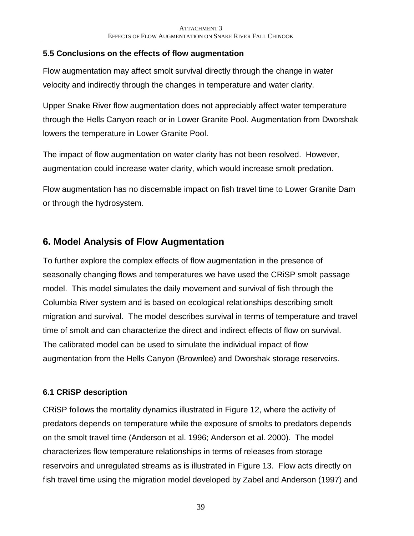### **5.5 Conclusions on the effects of flow augmentation**

Flow augmentation may affect smolt survival directly through the change in water velocity and indirectly through the changes in temperature and water clarity.

Upper Snake River flow augmentation does not appreciably affect water temperature through the Hells Canyon reach or in Lower Granite Pool. Augmentation from Dworshak lowers the temperature in Lower Granite Pool.

The impact of flow augmentation on water clarity has not been resolved. However, augmentation could increase water clarity, which would increase smolt predation.

Flow augmentation has no discernable impact on fish travel time to Lower Granite Dam or through the hydrosystem.

# **6. Model Analysis of Flow Augmentation**

To further explore the complex effects of flow augmentation in the presence of seasonally changing flows and temperatures we have used the CRiSP smolt passage model. This model simulates the daily movement and survival of fish through the Columbia River system and is based on ecological relationships describing smolt migration and survival. The model describes survival in terms of temperature and travel time of smolt and can characterize the direct and indirect effects of flow on survival. The calibrated model can be used to simulate the individual impact of flow augmentation from the Hells Canyon (Brownlee) and Dworshak storage reservoirs.

### **6.1 CRiSP description**

CRiSP follows the mortality dynamics illustrated in Figure 12, where the activity of predators depends on temperature while the exposure of smolts to predators depends on the smolt travel time (Anderson et al. 1996; Anderson et al. 2000). The model characterizes flow temperature relationships in terms of releases from storage reservoirs and unregulated streams as is illustrated in Figure 13. Flow acts directly on fish travel time using the migration model developed by Zabel and Anderson (1997) and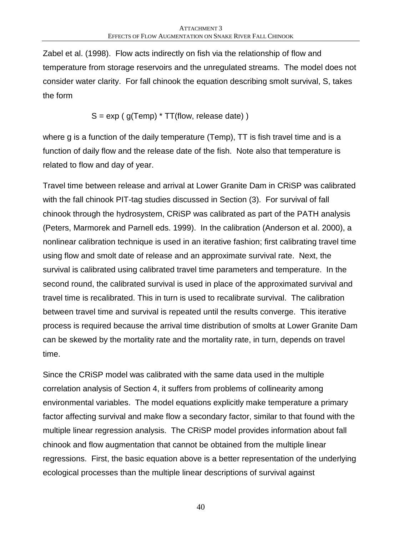Zabel et al. (1998). Flow acts indirectly on fish via the relationship of flow and temperature from storage reservoirs and the unregulated streams. The model does not consider water clarity. For fall chinook the equation describing smolt survival, S, takes the form

$$
S = exp (g(Temp) * TT(flow, release date))
$$

where g is a function of the daily temperature (Temp), TT is fish travel time and is a function of daily flow and the release date of the fish. Note also that temperature is related to flow and day of year.

Travel time between release and arrival at Lower Granite Dam in CRiSP was calibrated with the fall chinook PIT-tag studies discussed in Section (3). For survival of fall chinook through the hydrosystem, CRiSP was calibrated as part of the PATH analysis (Peters, Marmorek and Parnell eds. 1999). In the calibration (Anderson et al. 2000), a nonlinear calibration technique is used in an iterative fashion; first calibrating travel time using flow and smolt date of release and an approximate survival rate. Next, the survival is calibrated using calibrated travel time parameters and temperature. In the second round, the calibrated survival is used in place of the approximated survival and travel time is recalibrated. This in turn is used to recalibrate survival. The calibration between travel time and survival is repeated until the results converge. This iterative process is required because the arrival time distribution of smolts at Lower Granite Dam can be skewed by the mortality rate and the mortality rate, in turn, depends on travel time.

Since the CRiSP model was calibrated with the same data used in the multiple correlation analysis of Section 4, it suffers from problems of collinearity among environmental variables. The model equations explicitly make temperature a primary factor affecting survival and make flow a secondary factor, similar to that found with the multiple linear regression analysis. The CRiSP model provides information about fall chinook and flow augmentation that cannot be obtained from the multiple linear regressions. First, the basic equation above is a better representation of the underlying ecological processes than the multiple linear descriptions of survival against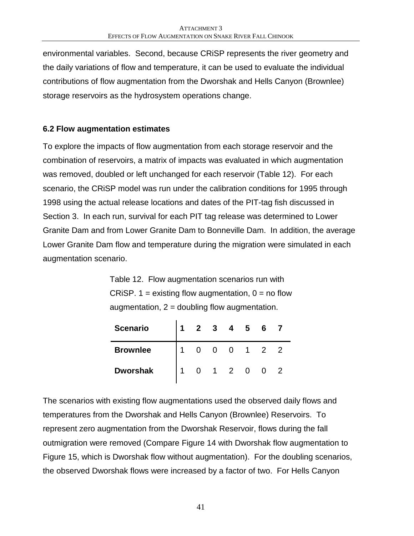environmental variables. Second, because CRiSP represents the river geometry and the daily variations of flow and temperature, it can be used to evaluate the individual contributions of flow augmentation from the Dworshak and Hells Canyon (Brownlee) storage reservoirs as the hydrosystem operations change.

### **6.2 Flow augmentation estimates**

To explore the impacts of flow augmentation from each storage reservoir and the combination of reservoirs, a matrix of impacts was evaluated in which augmentation was removed, doubled or left unchanged for each reservoir (Table 12). For each scenario, the CRiSP model was run under the calibration conditions for 1995 through 1998 using the actual release locations and dates of the PIT-tag fish discussed in Section 3. In each run, survival for each PIT tag release was determined to Lower Granite Dam and from Lower Granite Dam to Bonneville Dam. In addition, the average Lower Granite Dam flow and temperature during the migration were simulated in each augmentation scenario.

Table 12. Flow augmentation scenarios run with CRISP. 1 = existing flow augmentation,  $0 = no$  flow augmentation,  $2 =$  doubling flow augmentation.

| <b>Scenario</b> | $\mathbf{2}$ | $3 \quad 4 \quad 5$ |             | 6              |                |
|-----------------|--------------|---------------------|-------------|----------------|----------------|
| <b>Brownlee</b> |              | 0                   | $1 \quad 2$ |                | $\overline{2}$ |
| <b>Dworshak</b> |              | $1 \quad 2 \quad 0$ |             | $\overline{0}$ |                |

The scenarios with existing flow augmentations used the observed daily flows and temperatures from the Dworshak and Hells Canyon (Brownlee) Reservoirs. To represent zero augmentation from the Dworshak Reservoir, flows during the fall outmigration were removed (Compare Figure 14 with Dworshak flow augmentation to Figure 15, which is Dworshak flow without augmentation). For the doubling scenarios, the observed Dworshak flows were increased by a factor of two. For Hells Canyon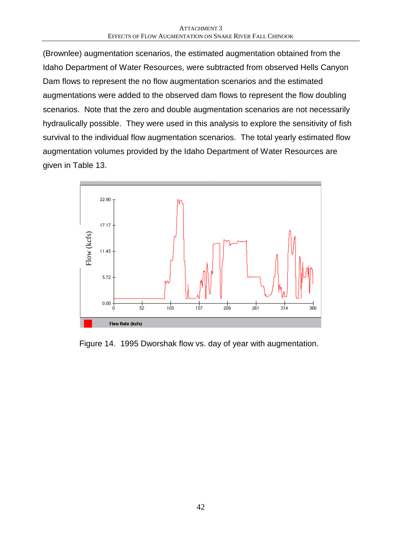(Brownlee) augmentation scenarios, the estimated augmentation obtained from the Idaho Department of Water Resources, were subtracted from observed Hells Canyon Dam flows to represent the no flow augmentation scenarios and the estimated augmentations were added to the observed dam flows to represent the flow doubling scenarios. Note that the zero and double augmentation scenarios are not necessarily hydraulically possible. They were used in this analysis to explore the sensitivity of fish survival to the individual flow augmentation scenarios. The total yearly estimated flow augmentation volumes provided by the Idaho Department of Water Resources are given in Table 13.



Figure 14. 1995 Dworshak flow vs. day of year with augmentation.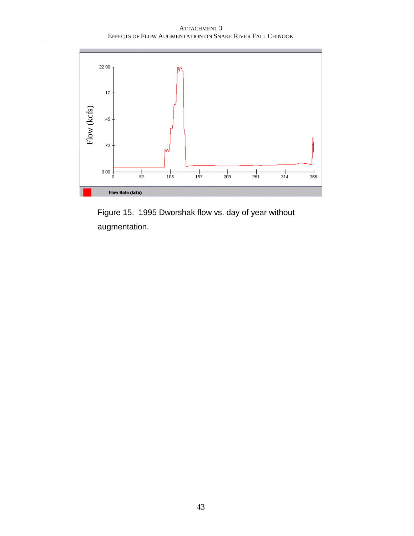ATTACHMENT 3 EFFECTS OF FLOW AUGMENTATION ON SNAKE RIVER FALL CHINOOK



Figure 15. 1995 Dworshak flow vs. day of year without augmentation.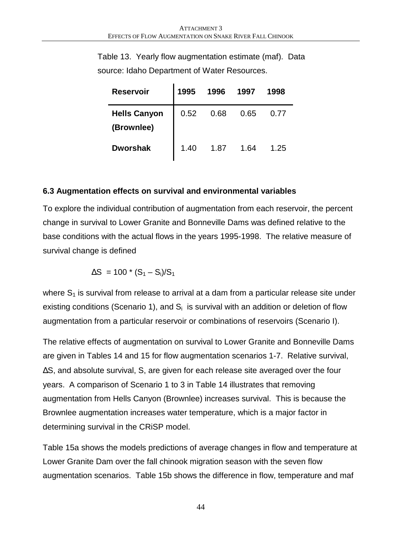Table 13. Yearly flow augmentation estimate (maf). Data source: Idaho Department of Water Resources.

| <b>Reservoir</b>    | 1995 | 1996 | 1997 | 1998 |
|---------------------|------|------|------|------|
| <b>Hells Canyon</b> | 0.52 | 0.68 | 0.65 | 0.77 |
| (Brownlee)          |      |      |      |      |
| <b>Dworshak</b>     | 1.40 | 1.87 | 1.64 | 1.25 |

### **6.3 Augmentation effects on survival and environmental variables**

To explore the individual contribution of augmentation from each reservoir, the percent change in survival to Lower Granite and Bonneville Dams was defined relative to the base conditions with the actual flows in the years 1995-1998. The relative measure of survival change is defined

$$
\Delta S = 100 \times (S_1 - S_i)/S_1
$$

where  $S_1$  is survival from release to arrival at a dam from a particular release site under existing conditions (Scenario 1), and  $S_i$  is survival with an addition or deletion of flow augmentation from a particular reservoir or combinations of reservoirs (Scenario I).

The relative effects of augmentation on survival to Lower Granite and Bonneville Dams are given in Tables 14 and 15 for flow augmentation scenarios 1-7. Relative survival, ΔS, and absolute survival, S, are given for each release site averaged over the four years. A comparison of Scenario 1 to 3 in Table 14 illustrates that removing augmentation from Hells Canyon (Brownlee) increases survival. This is because the Brownlee augmentation increases water temperature, which is a major factor in determining survival in the CRiSP model.

Table 15a shows the models predictions of average changes in flow and temperature at Lower Granite Dam over the fall chinook migration season with the seven flow augmentation scenarios. Table 15b shows the difference in flow, temperature and maf

44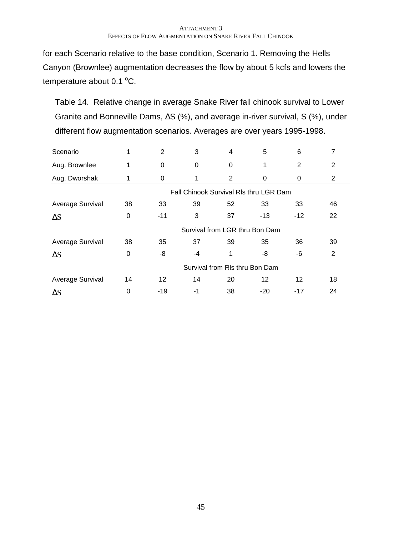for each Scenario relative to the base condition, Scenario 1. Removing the Hells Canyon (Brownlee) augmentation decreases the flow by about 5 kcfs and lowers the temperature about 0.1  $^{\circ}$ C.

Table 14. Relative change in average Snake River fall chinook survival to Lower Granite and Bonneville Dams, ΔS (%), and average in-river survival, S (%), under different flow augmentation scenarios. Averages are over years 1995-1998.

| Scenario                | 1  | $\overline{2}$ | 3  | 4                                      | 5     | 6        | 7              |
|-------------------------|----|----------------|----|----------------------------------------|-------|----------|----------------|
| Aug. Brownlee           | 1  | 0              | 0  | 0                                      | 1     | 2        | $\overline{2}$ |
| Aug. Dworshak           | 1  | 0              | 1  | $\overline{2}$                         | 0     | $\Omega$ | $\overline{2}$ |
|                         |    |                |    | Fall Chinook Survival RIs thru LGR Dam |       |          |                |
| Average Survival        | 38 | 33             | 39 | 52                                     | 33    | 33       | 46             |
| $\Delta S$              | 0  | $-11$          | 3  | 37                                     | $-13$ | $-12$    | 22             |
|                         |    |                |    | Survival from LGR thru Bon Dam         |       |          |                |
| <b>Average Survival</b> | 38 | 35             | 37 | 39                                     | 35    | 36       | 39             |
| $\Delta S$              | 0  | -8             | -4 | 1                                      | -8    | -6       | 2              |
|                         |    |                |    | Survival from RIs thru Bon Dam         |       |          |                |
| Average Survival        | 14 | 12             | 14 | 20                                     | 12    | 12       | 18             |
| $\Delta S$              | 0  | $-19$          | -1 | 38                                     | -20   | $-17$    | 24             |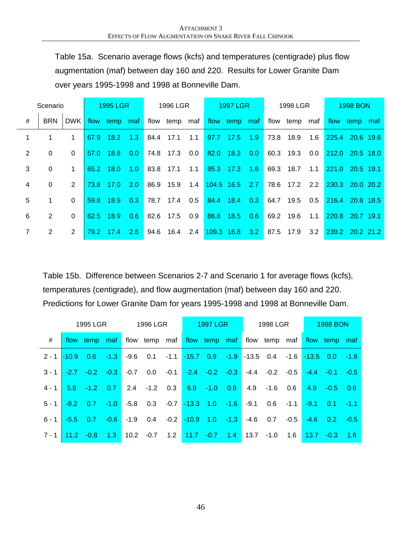Table 15a. Scenario average flows (kcfs) and temperatures (centigrade) plus flow augmentation (maf) between day 160 and 220. Results for Lower Granite Dam over years 1995-1998 and 1998 at Bonneville Dam.

|   | Scenario     |                |      | <b>1995 LGR</b> |        |      | 1996 LGR                    |         | <b>1997 LGR</b> |      | 1998 LGR      |     |                 | 1998 BON      |  |
|---|--------------|----------------|------|-----------------|--------|------|-----------------------------|---------|-----------------|------|---------------|-----|-----------------|---------------|--|
| # | <b>BRN</b>   | DWK L          |      | flow temp maf   |        |      | flow temp maf flow temp maf |         |                 |      | flow temp maf |     |                 | flow temp maf |  |
|   | 1            | 1              |      | 67.9 18.2       | 1.3    | 84.4 | 17.1                        | 1.1     | 97.7 17.5 1.9   | 73.8 | 18.9          | 1.6 | 225.4 20.6 19.6 |               |  |
| 2 | $\mathbf{0}$ | $\Omega$       | 57.0 | $18.8\quad 0.0$ |        |      | 74.8 17.3 0.0               |         | 82.0 18.3 0.0   |      | 60.3 19.3     | 0.0 | 212.0 20.5 18.0 |               |  |
| 3 | $\Omega$     | $\mathbf 1$    |      | 65.2 18.0 1.0   |        |      | 83.8 17.1 1.1               |         | 95.3 17.3 1.6   |      | 69.3 18.7     | 1.1 | 221.0 20.5 19.1 |               |  |
| 4 | $\Omega$     | 2              |      | 73.8 17.0 2.0   |        |      | 86.9 15.9                   | 1.4     | 104.5 16.5 2.7  |      | 78.6 17.2 2.2 |     | 230.3 20.0 20.2 |               |  |
| 5 | $\mathbf{1}$ | $\Omega$       |      | 59.8 18.9 0.3   |        |      | 78.7 17.4                   | $0.5\,$ | 84.4 18.4 0.3   |      | 64.7 19.5     | 0.5 | 216.4 20.6 18.5 |               |  |
| 6 | 2            | $\Omega$       |      | 62.5 18.9 0.6   |        |      | 82.6 17.5                   | 0.9     | 86.8 18.5 0.6   |      | 69.2 19.6     | 1.1 | 220.8 20.7 19.1 |               |  |
|   | 2            | $\overline{2}$ |      | 79.2 17.4       | $-2.6$ | 94.6 | 16.4 2.4                    |         | 109.3 16.8 3.2  |      | 87.5 17.9     | 3.2 | 239.2 20.2 21.2 |               |  |

Table 15b. Difference between Scenarios 2-7 and Scenario 1 for average flows (kcfs), temperatures (centigrade), and flow augmentation (maf) between day 160 and 220. Predictions for Lower Granite Dam for years 1995-1998 and 1998 at Bonneville Dam.

|                 |             | 1995 LGR          |        |        | 1996 LGR                                                |        | <b>1997 LGR</b>           |        | 1998 LGR                                                        |        |              | <b>1998 BON</b>   |     |
|-----------------|-------------|-------------------|--------|--------|---------------------------------------------------------|--------|---------------------------|--------|-----------------------------------------------------------------|--------|--------------|-------------------|-----|
| #               |             | flow temp maf     |        |        | flow temp maf flow temp maf flow temp maf flow temp maf |        |                           |        |                                                                 |        |              |                   |     |
| $2 - 1$ $-10.9$ |             | $0.6 - 1.3$       |        | $-9.6$ | 0.1                                                     |        |                           |        | $-1.1$ $-15.7$ 0.9 $-1.9$ $-13.5$ 0.4 $-1.6$ $-13.5$ 0.0 $-1.6$ |        |              |                   |     |
| $3 - 1$         |             | $-2.7 -0.2$       | $-0.3$ | $-0.7$ | 0.0                                                     | $-0.1$ | $-2.4$ $-0.2$ $-0.3$      | $-4.4$ | $-0.2$                                                          | $-0.5$ | $-4.4$       | $-0.1 - 0.5$      |     |
| $4 - 1$         |             | $5.8 - 1.2$ 0.7   |        |        | $2.4 -1.2$ 0.3                                          |        | $6.9 - 1.0 0.8$           |        | $4.9 - 1.6$                                                     | 0.6    | 4.9          | $-0.5$ 0.6        |     |
| $5 - 1$         |             | $-8.2$ 0.7 $-1.0$ |        | -5.8   | 0.3                                                     |        | $-0.7$ $-13.3$ 1.0 $-1.6$ | $-9.1$ | 0.6                                                             | $-1.1$ | $-9.1$       | $0.1 - 1.1$       |     |
| $6 - 1$         |             | $-5.5$ 0.7 $-0.6$ |        | $-1.9$ |                                                         |        |                           |        | $-4.6$ 0.7                                                      | $-0.5$ |              | $-4.6$ 0.2 $-0.5$ |     |
| $7 - 1$         | $11.2 -0.8$ |                   | $-1.3$ |        | $10.2 -0.7$                                             | 1.2    | $11.7 -0.7$ 1.4           | 13.7   | $-1.0$                                                          | 1.6    | $13.7 - 0.3$ |                   | 1.6 |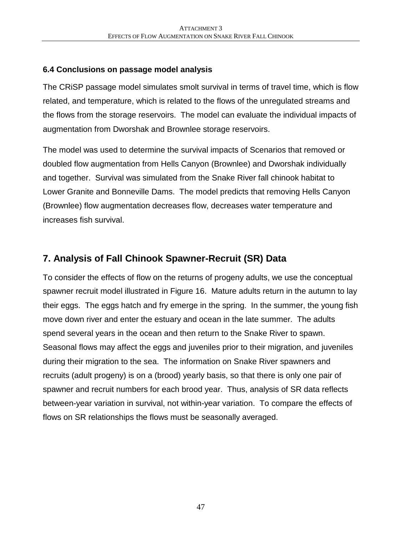### **6.4 Conclusions on passage model analysis**

The CRiSP passage model simulates smolt survival in terms of travel time, which is flow related, and temperature, which is related to the flows of the unregulated streams and the flows from the storage reservoirs. The model can evaluate the individual impacts of augmentation from Dworshak and Brownlee storage reservoirs.

The model was used to determine the survival impacts of Scenarios that removed or doubled flow augmentation from Hells Canyon (Brownlee) and Dworshak individually and together. Survival was simulated from the Snake River fall chinook habitat to Lower Granite and Bonneville Dams. The model predicts that removing Hells Canyon (Brownlee) flow augmentation decreases flow, decreases water temperature and increases fish survival.

# **7. Analysis of Fall Chinook Spawner-Recruit (SR) Data**

To consider the effects of flow on the returns of progeny adults, we use the conceptual spawner recruit model illustrated in Figure 16. Mature adults return in the autumn to lay their eggs. The eggs hatch and fry emerge in the spring. In the summer, the young fish move down river and enter the estuary and ocean in the late summer. The adults spend several years in the ocean and then return to the Snake River to spawn. Seasonal flows may affect the eggs and juveniles prior to their migration, and juveniles during their migration to the sea. The information on Snake River spawners and recruits (adult progeny) is on a (brood) yearly basis, so that there is only one pair of spawner and recruit numbers for each brood year. Thus, analysis of SR data reflects between-year variation in survival, not within-year variation. To compare the effects of flows on SR relationships the flows must be seasonally averaged.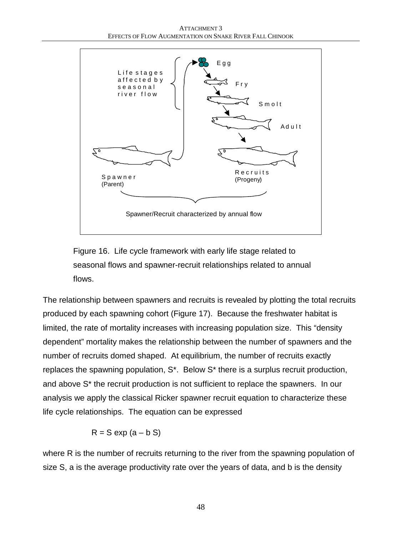

Figure 16. Life cycle framework with early life stage related to seasonal flows and spawner-recruit relationships related to annual flows.

The relationship between spawners and recruits is revealed by plotting the total recruits produced by each spawning cohort (Figure 17). Because the freshwater habitat is limited, the rate of mortality increases with increasing population size. This "density dependent" mortality makes the relationship between the number of spawners and the number of recruits domed shaped. At equilibrium, the number of recruits exactly replaces the spawning population, S\*. Below S\* there is a surplus recruit production, and above S\* the recruit production is not sufficient to replace the spawners. In our analysis we apply the classical Ricker spawner recruit equation to characterize these life cycle relationships. The equation can be expressed

$$
R = S \exp (a - b S)
$$

where R is the number of recruits returning to the river from the spawning population of size S, a is the average productivity rate over the years of data, and b is the density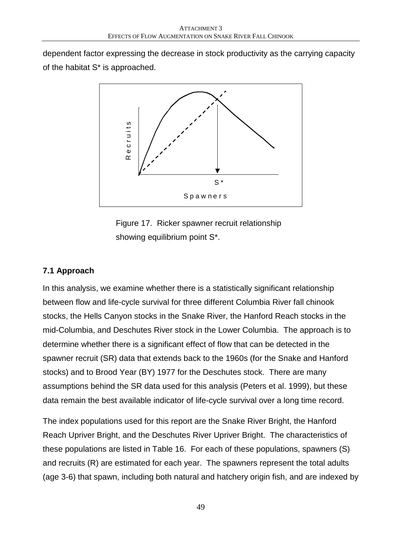dependent factor expressing the decrease in stock productivity as the carrying capacity of the habitat S\* is approached.



Figure 17. Ricker spawner recruit relationship showing equilibrium point S\*.

### **7.1 Approach**

In this analysis, we examine whether there is a statistically significant relationship between flow and life-cycle survival for three different Columbia River fall chinook stocks, the Hells Canyon stocks in the Snake River, the Hanford Reach stocks in the mid-Columbia, and Deschutes River stock in the Lower Columbia. The approach is to determine whether there is a significant effect of flow that can be detected in the spawner recruit (SR) data that extends back to the 1960s (for the Snake and Hanford stocks) and to Brood Year (BY) 1977 for the Deschutes stock. There are many assumptions behind the SR data used for this analysis (Peters et al. 1999), but these data remain the best available indicator of life-cycle survival over a long time record.

The index populations used for this report are the Snake River Bright, the Hanford Reach Upriver Bright, and the Deschutes River Upriver Bright. The characteristics of these populations are listed in Table 16. For each of these populations, spawners (S) and recruits (R) are estimated for each year. The spawners represent the total adults (age 3-6) that spawn, including both natural and hatchery origin fish, and are indexed by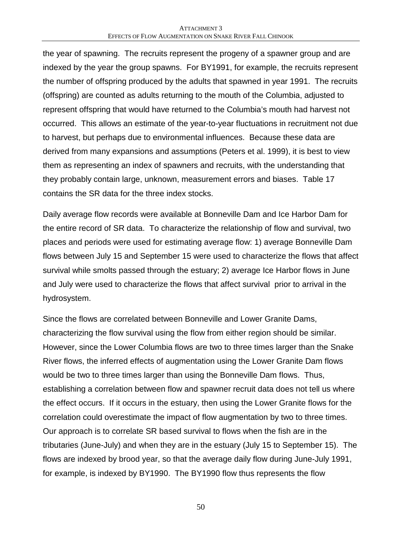the year of spawning. The recruits represent the progeny of a spawner group and are indexed by the year the group spawns. For BY1991, for example, the recruits represent the number of offspring produced by the adults that spawned in year 1991. The recruits (offspring) are counted as adults returning to the mouth of the Columbia, adjusted to represent offspring that would have returned to the Columbia's mouth had harvest not occurred. This allows an estimate of the year-to-year fluctuations in recruitment not due to harvest, but perhaps due to environmental influences. Because these data are derived from many expansions and assumptions (Peters et al. 1999), it is best to view them as representing an index of spawners and recruits, with the understanding that they probably contain large, unknown, measurement errors and biases. Table 17 contains the SR data for the three index stocks.

Daily average flow records were available at Bonneville Dam and Ice Harbor Dam for the entire record of SR data. To characterize the relationship of flow and survival, two places and periods were used for estimating average flow: 1) average Bonneville Dam flows between July 15 and September 15 were used to characterize the flows that affect survival while smolts passed through the estuary; 2) average Ice Harbor flows in June and July were used to characterize the flows that affect survival prior to arrival in the hydrosystem.

Since the flows are correlated between Bonneville and Lower Granite Dams, characterizing the flow survival using the flow from either region should be similar. However, since the Lower Columbia flows are two to three times larger than the Snake River flows, the inferred effects of augmentation using the Lower Granite Dam flows would be two to three times larger than using the Bonneville Dam flows. Thus, establishing a correlation between flow and spawner recruit data does not tell us where the effect occurs. If it occurs in the estuary, then using the Lower Granite flows for the correlation could overestimate the impact of flow augmentation by two to three times. Our approach is to correlate SR based survival to flows when the fish are in the tributaries (June-July) and when they are in the estuary (July 15 to September 15). The flows are indexed by brood year, so that the average daily flow during June-July 1991, for example, is indexed by BY1990. The BY1990 flow thus represents the flow

50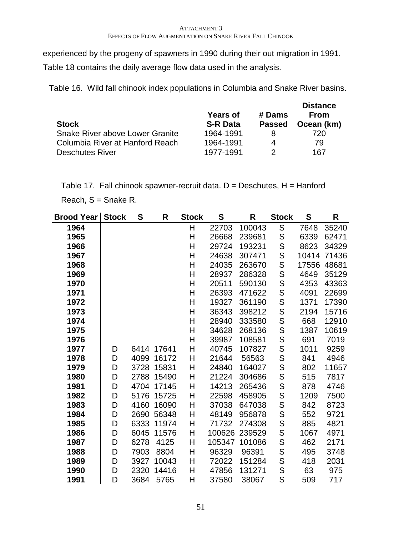experienced by the progeny of spawners in 1990 during their out migration in 1991.

Table 18 contains the daily average flow data used in the analysis.

Table 16. Wild fall chinook index populations in Columbia and Snake River basins.

| <b>Stock</b>                    | <b>Years of</b><br><b>S-R Data</b> | # Dams<br><b>Passed</b> | <b>Distance</b><br><b>From</b><br>Ocean (km) |
|---------------------------------|------------------------------------|-------------------------|----------------------------------------------|
| Snake River above Lower Granite | 1964-1991                          |                         | 720                                          |
| Columbia River at Hanford Reach | 1964-1991                          | 4                       | 79                                           |
| <b>Deschutes River</b>          | 1977-1991                          | າ                       | 167                                          |

Table 17. Fall chinook spawner-recruit data.  $D =$  Deschutes,  $H =$  Hanford

Reach, S = Snake R.

| <b>Brood Year</b> | <b>Stock</b> | S    | R          | <b>Stock</b> | S      | R      | <b>Stock</b> | S     | R     |
|-------------------|--------------|------|------------|--------------|--------|--------|--------------|-------|-------|
| 1964              |              |      |            | H            | 22703  | 100043 | S            | 7648  | 35240 |
| 1965              |              |      |            | Н            | 26668  | 239681 | $\mathsf S$  | 6339  | 62471 |
| 1966              |              |      |            | Η            | 29724  | 193231 | S            | 8623  | 34329 |
| 1967              |              |      |            | Η            | 24638  | 307471 | S            | 10414 | 71436 |
| 1968              |              |      |            | H            | 24035  | 263670 | S            | 17556 | 48681 |
| 1969              |              |      |            | Η            | 28937  | 286328 | S            | 4649  | 35129 |
| 1970              |              |      |            | Η            | 20511  | 590130 | S            | 4353  | 43363 |
| 1971              |              |      |            | Η            | 26393  | 471622 | S            | 4091  | 22699 |
| 1972              |              |      |            | Η            | 19327  | 361190 | S            | 1371  | 17390 |
| 1973              |              |      |            | H            | 36343  | 398212 | S            | 2194  | 15716 |
| 1974              |              |      |            | H            | 28940  | 333580 | S            | 668   | 12910 |
| 1975              |              |      |            | Η            | 34628  | 268136 | S            | 1387  | 10619 |
| 1976              |              |      |            | Η            | 39987  | 108581 | S            | 691   | 7019  |
| 1977              | D            |      | 6414 17641 | H            | 40745  | 107827 | S            | 1011  | 9259  |
| 1978              | D            | 4099 | 16172      | Н            | 21644  | 56563  | S            | 841   | 4946  |
| 1979              | D            | 3728 | 15831      | H            | 24840  | 164027 | S            | 802   | 11657 |
| 1980              | D            | 2788 | 15490      | H            | 21224  | 304686 | S            | 515   | 7817  |
| 1981              | D            | 4704 | 17145      | Η            | 14213  | 265436 | S            | 878   | 4746  |
| 1982              | D            | 5176 | 15725      | Η            | 22598  | 458905 | S            | 1209  | 7500  |
| 1983              | D            | 4160 | 16090      | H            | 37038  | 647038 | S            | 842   | 8723  |
| 1984              | D            | 2690 | 56348      | Н            | 48149  | 956878 | S            | 552   | 9721  |
| 1985              | D            | 6333 | 11974      | H            | 71732  | 274308 | S            | 885   | 4821  |
| 1986              | D            | 6045 | 11576      | H            | 100626 | 239529 | S            | 1067  | 4971  |
| 1987              | D            | 6278 | 4125       | H            | 105347 | 101086 | S            | 462   | 2171  |
| 1988              | D            | 7903 | 8804       | Н            | 96329  | 96391  | S            | 495   | 3748  |
| 1989              | D            | 3927 | 10043      | Н            | 72022  | 151284 | S            | 418   | 2031  |
| 1990              | D            | 2320 | 14416      | Η            | 47856  | 131271 | S            | 63    | 975   |
| 1991              | D            | 3684 | 5765       | H            | 37580  | 38067  | S            | 509   | 717   |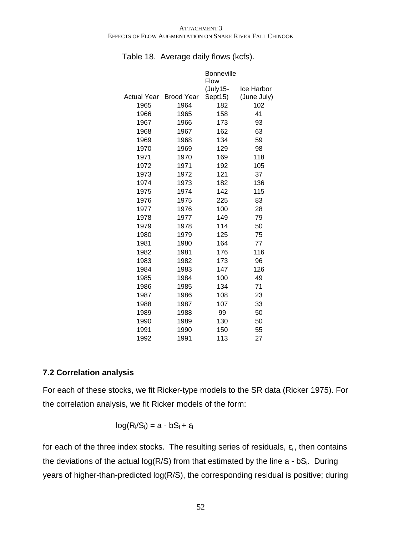|             |                   | <b>Bonneville</b> |             |
|-------------|-------------------|-------------------|-------------|
|             |                   | Flow              |             |
|             |                   | (July15-          | Ice Harbor  |
| Actual Year | <b>Brood Year</b> | Sept15)           | (June July) |
| 1965        | 1964              | 182               | 102         |
| 1966        | 1965              | 158               | 41          |
| 1967        | 1966              | 173               | 93          |
| 1968        | 1967              | 162               | 63          |
| 1969        | 1968              | 134               | 59          |
| 1970        | 1969              | 129               | 98          |
| 1971        | 1970              | 169               | 118         |
| 1972        | 1971              | 192               | 105         |
| 1973        | 1972              | 121               | 37          |
| 1974        | 1973              | 182               | 136         |
| 1975        | 1974              | 142               | 115         |
| 1976        | 1975              | 225               | 83          |
| 1977        | 1976              | 100               | 28          |
| 1978        | 1977              | 149               | 79          |
| 1979        | 1978              | 114               | 50          |
| 1980        | 1979              | 125               | 75          |
| 1981        | 1980              | 164               | 77          |
| 1982        | 1981              | 176               | 116         |
| 1983        | 1982              | 173               | 96          |
| 1984        | 1983              | 147               | 126         |
| 1985        | 1984              | 100               | 49          |
| 1986        | 1985              | 134               | 71          |
| 1987        | 1986              | 108               | 23          |
| 1988        | 1987              | 107               | 33          |
| 1989        | 1988              | 99                | 50          |
| 1990        | 1989              | 130               | 50          |
| 1991        | 1990              | 150               | 55          |
| 1992        | 1991              | 113               | 27          |

#### Table 18. Average daily flows (kcfs).

### **7.2 Correlation analysis**

For each of these stocks, we fit Ricker-type models to the SR data (Ricker 1975). For the correlation analysis, we fit Ricker models of the form:

$$
log(R_i/S_i) = a - bS_i + \epsilon_i
$$

for each of the three index stocks. The resulting series of residuals,  $\varepsilon_i$ , then contains the deviations of the actual  $log(R/S)$  from that estimated by the line a - bS<sub>i</sub>. During years of higher-than-predicted log(R/S), the corresponding residual is positive; during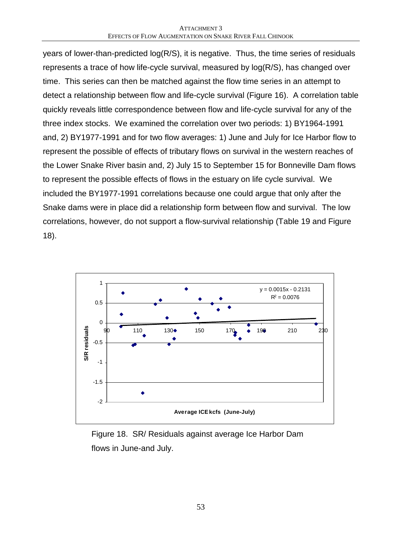years of lower-than-predicted log(R/S), it is negative. Thus, the time series of residuals represents a trace of how life-cycle survival, measured by log(R/S), has changed over time. This series can then be matched against the flow time series in an attempt to detect a relationship between flow and life-cycle survival (Figure 16). A correlation table quickly reveals little correspondence between flow and life-cycle survival for any of the three index stocks. We examined the correlation over two periods: 1) BY1964-1991 and, 2) BY1977-1991 and for two flow averages: 1) June and July for Ice Harbor flow to represent the possible of effects of tributary flows on survival in the western reaches of the Lower Snake River basin and, 2) July 15 to September 15 for Bonneville Dam flows to represent the possible effects of flows in the estuary on life cycle survival. We included the BY1977-1991 correlations because one could argue that only after the Snake dams were in place did a relationship form between flow and survival. The low correlations, however, do not support a flow-survival relationship (Table 19 and Figure 18).



Figure 18. SR/ Residuals against average Ice Harbor Dam flows in June-and July.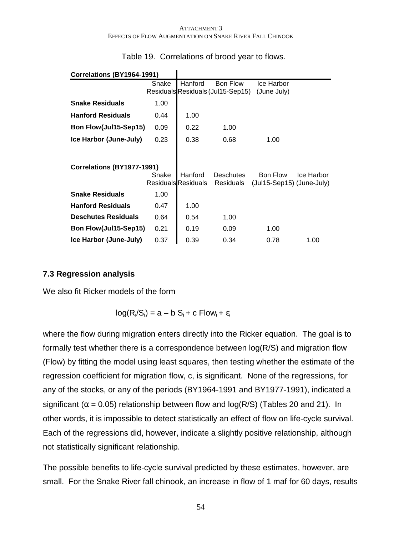| Correlations (BY1964-1991) |       |                            |                                   |                           |            |
|----------------------------|-------|----------------------------|-----------------------------------|---------------------------|------------|
|                            | Snake | Hanford                    | Bon Flow                          | Ice Harbor                |            |
|                            |       |                            | Residuals Residuals (Jul15-Sep15) | (June July)               |            |
| <b>Snake Residuals</b>     | 1.00  |                            |                                   |                           |            |
| <b>Hanford Residuals</b>   | 0.44  | 1.00                       |                                   |                           |            |
| Bon Flow(Jul15-Sep15)      | 0.09  | 0.22                       | 1.00                              |                           |            |
| Ice Harbor (June-July)     | 0.23  | 0.38                       | 0.68                              | 1.00                      |            |
|                            |       |                            |                                   |                           |            |
| Correlations (BY1977-1991) |       |                            |                                   |                           |            |
|                            | Snake | Hanford                    | <b>Deschutes</b>                  | Bon Flow                  | Ice Harbor |
|                            |       | <b>Residuals Residuals</b> | <b>Residuals</b>                  | (Jul15-Sep15) (June-July) |            |
| <b>Snake Residuals</b>     | 1.00  |                            |                                   |                           |            |
| <b>Hanford Residuals</b>   | 0.47  | 1.00                       |                                   |                           |            |
| <b>Deschutes Residuals</b> | 0.64  | 0.54                       | 1.00                              |                           |            |
| Bon Flow(Jul15-Sep15)      | 0.21  | 0.19                       | 0.09                              | 1.00                      |            |
| Ice Harbor (June-July)     | 0.37  | 0.39                       | 0.34                              | 0.78                      | 1.00       |

### Table 19. Correlations of brood year to flows.

 $\mathbf{I}$ 

### **7.3 Regression analysis**

We also fit Ricker models of the form

$$
log(R_i/S_i) = a - b S_i + c Flow_i + \varepsilon_i
$$

where the flow during migration enters directly into the Ricker equation. The goal is to formally test whether there is a correspondence between log(R/S) and migration flow (Flow) by fitting the model using least squares, then testing whether the estimate of the regression coefficient for migration flow, c, is significant. None of the regressions, for any of the stocks, or any of the periods (BY1964-1991 and BY1977-1991), indicated a significant ( $\alpha$  = 0.05) relationship between flow and log(R/S) (Tables 20 and 21). In other words, it is impossible to detect statistically an effect of flow on life-cycle survival. Each of the regressions did, however, indicate a slightly positive relationship, although not statistically significant relationship.

The possible benefits to life-cycle survival predicted by these estimates, however, are small. For the Snake River fall chinook, an increase in flow of 1 maf for 60 days, results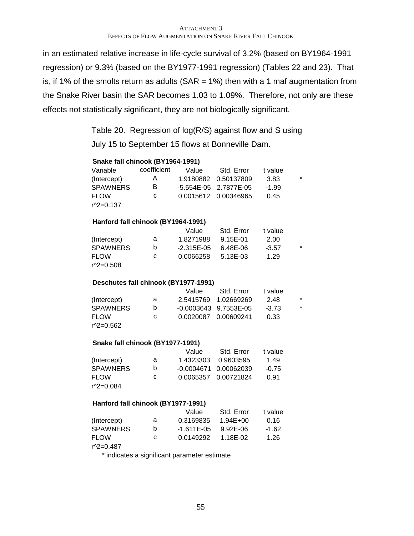in an estimated relative increase in life-cycle survival of 3.2% (based on BY1964-1991 regression) or 9.3% (based on the BY1977-1991 regression) (Tables 22 and 23). That is, if 1% of the smolts return as adults ( $SAR = 1\%$ ) then with a 1 maf augmentation from the Snake River basin the SAR becomes 1.03 to 1.09%. Therefore, not only are these effects not statistically significant, they are not biologically significant.

> Table 20. Regression of log(R/S) against flow and S using July 15 to September 15 flows at Bonneville Dam.

| Snake fall chinook (BY1964-1991)     |             |              |            |         |         |
|--------------------------------------|-------------|--------------|------------|---------|---------|
| Variable                             | coefficient | Value        | Std. Error | t value |         |
| (Intercept)                          | A           | 1.9180882    | 0.50137809 | 3.83    | $\star$ |
| <b>SPAWNERS</b>                      | B           | $-5.554E-05$ | 2.7877E-05 | $-1.99$ |         |
| <b>FLOW</b>                          | C           | 0.0015612    | 0.00346965 | 0.45    |         |
| r^2=0.137                            |             |              |            |         |         |
| Hanford fall chinook (BY1964-1991)   |             |              |            |         |         |
|                                      |             | Value        | Std. Error | t value |         |
| (Intercept)                          | a           | 1.8271988    | 9.15E-01   | 2.00    |         |
| <b>SPAWNERS</b>                      | b           | $-2.315E-05$ | 6.48E-06   | $-3.57$ | $\star$ |
| <b>FLOW</b>                          | C           | 0.0066258    | 5.13E-03   | 1.29    |         |
| r^2=0.508                            |             |              |            |         |         |
| Deschutes fall chinook (BY1977-1991) |             |              |            |         |         |
|                                      |             | Value        | Std. Error | t value |         |
| (Intercept)                          | a           | 2.5415769    | 1.02669269 | 2.48    | $\star$ |
| <b>SPAWNERS</b>                      | b           | $-0.0003643$ | 9.7553E-05 | $-3.73$ | $\star$ |
| <b>FLOW</b>                          | C           | 0.0020087    | 0.00609241 | 0.33    |         |
| r^2=0.562                            |             |              |            |         |         |
| Snake fall chinook (BY1977-1991)     |             |              |            |         |         |
|                                      |             | Value        | Std. Error | t value |         |
| (Intercept)                          | a           | 1.4323303    | 0.9603595  | 1.49    |         |
| <b>SPAWNERS</b>                      | b           | $-0.0004671$ | 0.00062039 | $-0.75$ |         |
| <b>FLOW</b>                          | C           | 0.0065357    | 0.00721824 | 0.91    |         |
| r^2=0.084                            |             |              |            |         |         |
| Hanford fall chinook (BY1977-1991)   |             |              |            |         |         |
|                                      |             | Value        | Std. Error | t value |         |
| (Intercept)                          | a           | 0.3169835    | 1.94E+00   | 0.16    |         |
| <b>SPAWNERS</b>                      | b           | $-1.611E-05$ | 9.92E-06   | $-1.62$ |         |
| <b>FLOW</b>                          | C           | 0.0149292    | 1.18E-02   | 1.26    |         |
| r^2=0.487                            |             |              |            |         |         |

\* indicates a significant parameter estimate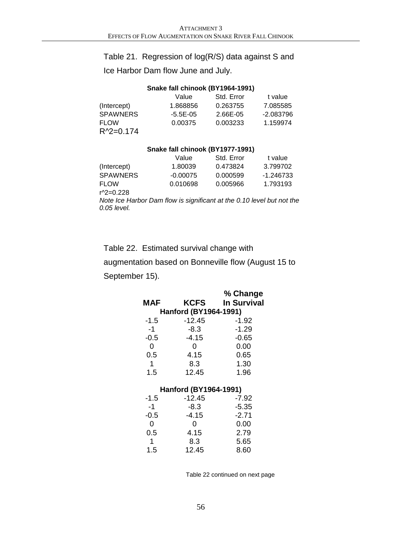### Table 21. Regression of log(R/S) data against S and

Ice Harbor Dam flow June and July.

#### **Snake fall chinook (BY1964-1991)**

|                 | Value        | Std. Error | t value     |
|-----------------|--------------|------------|-------------|
| (Intercept)     | 1.868856     | 0.263755   | 7.085585    |
| <b>SPAWNERS</b> | $-5.5E - 05$ | 2.66E-05   | $-2.083796$ |
| <b>FLOW</b>     | 0.00375      | 0.003233   | 1.159974    |
| $R^2 = 0.174$   |              |            |             |

#### **Snake fall chinook (BY1977-1991)**

|                 | Value      | Std. Error | t value   |
|-----------------|------------|------------|-----------|
| (Intercept)     | 1.80039    | 0.473824   | 3.799702  |
| <b>SPAWNERS</b> | $-0.00075$ | 0.000599   | -1.246733 |
| <b>FLOW</b>     | 0.010698   | 0.005966   | 1.793193  |
| r^2=0.228       |            |            |           |

*Note Ice Harbor Dam flow is significant at the 0.10 level but not the 0.05 level.*

### Table 22. Estimated survival change with

augmentation based on Bonneville flow (August 15 to September 15).

| MAF         | KCFS                  | % Change<br><b>In Survival</b> |
|-------------|-----------------------|--------------------------------|
|             | Hanford (BY1964-1991) |                                |
| -1.5        | $-12.45$              | -1.92                          |
| -1          | $-8.3$                | $-1.29$                        |
| $-0.5$      | $-4.15$               | $-0.65$                        |
| 0           | 0                     | 0.00                           |
| 0.5         | 4.15                  | 0.65                           |
| $\mathbf 1$ | 8.3                   | 1.30                           |
| 1.5         | 12.45                 | 1.96                           |
|             | Hanford (BY1964-1991) |                                |
| -1.5        | $-12.45$              | -7.92                          |
| $-1$        | $-8.3$                | $-5.35$                        |
| $-0.5$      | $-4.15$               | $-2.71$                        |
| 0           | 0                     | 0.00                           |
| 0.5         | 4.15                  | 2.79                           |
| 1           | 8.3                   | 5.65                           |
| 1.5         | 12.45                 | 8.60                           |

Table 22 continued on next page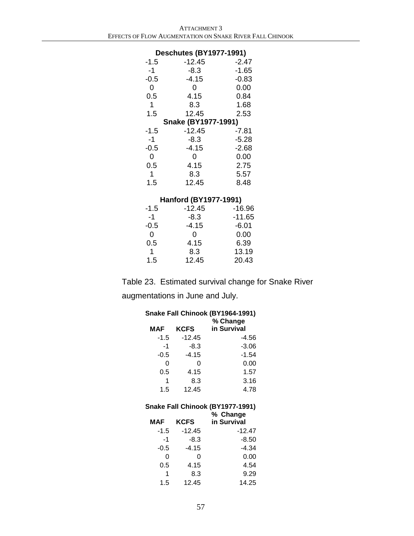#### **Deschutes (BY1977-1991)**

| -1.5        | $-12.45$                   | $-2.47$ |
|-------------|----------------------------|---------|
| -1          | $-8.3$                     | $-1.65$ |
| $-0.5$      | $-4.15$                    | $-0.83$ |
| 0           | 0                          | 0.00    |
| 0.5         | 4.15                       | 0.84    |
| $\mathbf 1$ | 8.3                        | 1.68    |
| 1.5         | 12.45                      | 2.53    |
|             |                            |         |
|             | <b>Snake (BY1977-1991)</b> |         |
| -1.5        | $-12.45$                   | -7.81   |
| -1          | $-8.3$                     | $-5.28$ |
| $-0.5$      | $-4.15$                    | $-2.68$ |
| 0           | 0                          | 0.00    |
| 0.5         | 4.15                       | 2.75    |
| 1           | 8.3                        | 5.57    |

### **Hanford (BY1977-1991)**

| -1.5   | $-12.45$ | $-16.96$ |
|--------|----------|----------|
| -1     | $-8.3$   | $-11.65$ |
| $-0.5$ | $-4.15$  | $-6.01$  |
| 0      | Ω        | 0.00     |
| 0.5    | 4.15     | 6.39     |
| 1      | 8.3      | 13.19    |
| 1.5    | 12.45    | 20.43    |

Table 23. Estimated survival change for Snake River

augmentations in June and July.

|        |          | Snake Fall Chinook (BY1964-1991) |
|--------|----------|----------------------------------|
|        |          | % Change                         |
| MAF    | KCFS     | in Survival                      |
| -1.5   | $-12.45$ | $-4.56$                          |
| $-1$   | $-8.3$   | $-3.06$                          |
| $-0.5$ | $-4.15$  | $-1.54$                          |
| 0      | 0        | 0.00                             |
| 0.5    | 4.15     | 1.57                             |
| 1      | 8.3      | 3.16                             |
| 1.5    | 12.45    | 4.78                             |
|        |          |                                  |
|        |          |                                  |
|        |          | Snake Fall Chinook (BY1977-1991) |
|        |          | % Change                         |
| MAF    | KCFS     | in Survival                      |
| -1.5   | $-12.45$ | $-12.47$                         |
| $-1$   | -8.3     | $-8.50$                          |
| $-0.5$ | $-4.15$  | $-4.34$                          |
| O      | ი        | 0.00                             |
| 0.5    | 4.15     | 4.54                             |
| 1      | 8.3      | 9.29                             |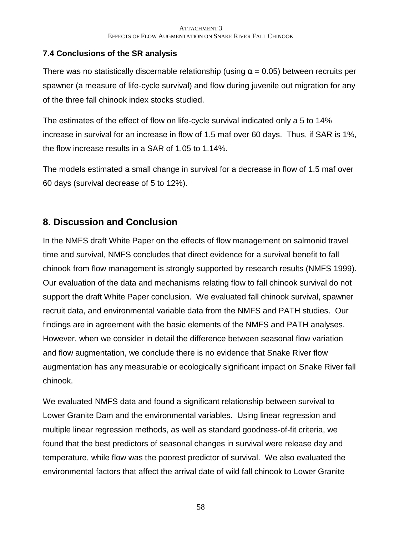### **7.4 Conclusions of the SR analysis**

There was no statistically discernable relationship (using  $\alpha$  = 0.05) between recruits per spawner (a measure of life-cycle survival) and flow during juvenile out migration for any of the three fall chinook index stocks studied.

The estimates of the effect of flow on life-cycle survival indicated only a 5 to 14% increase in survival for an increase in flow of 1.5 maf over 60 days. Thus, if SAR is 1%, the flow increase results in a SAR of 1.05 to 1.14%.

The models estimated a small change in survival for a decrease in flow of 1.5 maf over 60 days (survival decrease of 5 to 12%).

# **8. Discussion and Conclusion**

In the NMFS draft White Paper on the effects of flow management on salmonid travel time and survival, NMFS concludes that direct evidence for a survival benefit to fall chinook from flow management is strongly supported by research results (NMFS 1999). Our evaluation of the data and mechanisms relating flow to fall chinook survival do not support the draft White Paper conclusion. We evaluated fall chinook survival, spawner recruit data, and environmental variable data from the NMFS and PATH studies. Our findings are in agreement with the basic elements of the NMFS and PATH analyses. However, when we consider in detail the difference between seasonal flow variation and flow augmentation, we conclude there is no evidence that Snake River flow augmentation has any measurable or ecologically significant impact on Snake River fall chinook.

We evaluated NMFS data and found a significant relationship between survival to Lower Granite Dam and the environmental variables. Using linear regression and multiple linear regression methods, as well as standard goodness-of-fit criteria, we found that the best predictors of seasonal changes in survival were release day and temperature, while flow was the poorest predictor of survival. We also evaluated the environmental factors that affect the arrival date of wild fall chinook to Lower Granite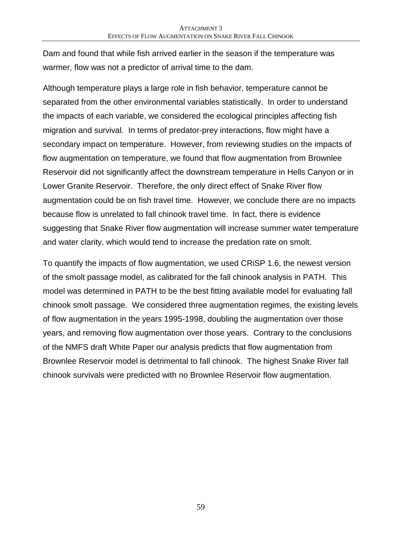Dam and found that while fish arrived earlier in the season if the temperature was warmer, flow was not a predictor of arrival time to the dam.

Although temperature plays a large role in fish behavior, temperature cannot be separated from the other environmental variables statistically. In order to understand the impacts of each variable, we considered the ecological principles affecting fish migration and survival. In terms of predator-prey interactions, flow might have a secondary impact on temperature. However, from reviewing studies on the impacts of flow augmentation on temperature, we found that flow augmentation from Brownlee Reservoir did not significantly affect the downstream temperature in Hells Canyon or in Lower Granite Reservoir. Therefore, the only direct effect of Snake River flow augmentation could be on fish travel time. However, we conclude there are no impacts because flow is unrelated to fall chinook travel time. In fact, there is evidence suggesting that Snake River flow augmentation will increase summer water temperature and water clarity, which would tend to increase the predation rate on smolt.

To quantify the impacts of flow augmentation, we used CRiSP 1.6, the newest version of the smolt passage model, as calibrated for the fall chinook analysis in PATH. This model was determined in PATH to be the best fitting available model for evaluating fall chinook smolt passage. We considered three augmentation regimes, the existing levels of flow augmentation in the years 1995-1998, doubling the augmentation over those years, and removing flow augmentation over those years. Contrary to the conclusions of the NMFS draft White Paper our analysis predicts that flow augmentation from Brownlee Reservoir model is detrimental to fall chinook. The highest Snake River fall chinook survivals were predicted with no Brownlee Reservoir flow augmentation.

59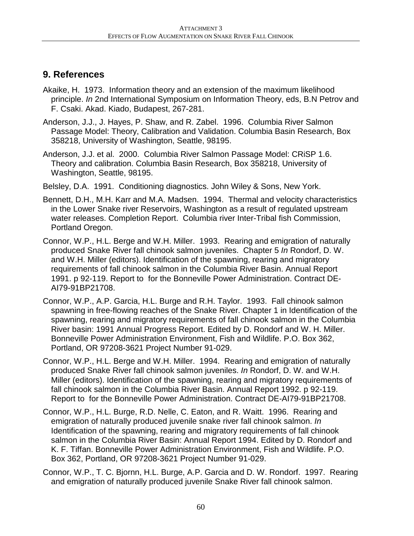### **9. References**

- Akaike, H. 1973. Information theory and an extension of the maximum likelihood principle. *In* 2nd International Symposium on Information Theory, eds, B.N Petrov and F. Csaki. Akad. Kiado, Budapest, 267-281.
- Anderson, J.J., J. Hayes, P. Shaw, and R. Zabel. 1996. Columbia River Salmon Passage Model: Theory, Calibration and Validation. Columbia Basin Research, Box 358218, University of Washington, Seattle, 98195.
- Anderson, J.J. et al. 2000. Columbia River Salmon Passage Model: CRiSP 1.6. Theory and calibration. Columbia Basin Research, Box 358218, University of Washington, Seattle, 98195.
- Belsley, D.A. 1991. Conditioning diagnostics. John Wiley & Sons, New York.
- Bennett, D.H., M.H. Karr and M.A. Madsen. 1994. Thermal and velocity characteristics in the Lower Snake river Reservoirs, Washington as a result of regulated upstream water releases. Completion Report. Columbia river Inter-Tribal fish Commission, Portland Oregon.
- Connor, W.P., H.L. Berge and W.H. Miller. 1993. Rearing and emigration of naturally produced Snake River fall chinook salmon juveniles. Chapter 5 *In* Rondorf, D. W. and W.H. Miller (editors). Identification of the spawning, rearing and migratory requirements of fall chinook salmon in the Columbia River Basin. Annual Report 1991. p 92-119. Report to for the Bonneville Power Administration. Contract DE-AI79-91BP21708.
- Connor, W.P., A.P. Garcia, H.L. Burge and R.H. Taylor. 1993. Fall chinook salmon spawning in free-flowing reaches of the Snake River. Chapter 1 in Identification of the spawning, rearing and migratory requirements of fall chinook salmon in the Columbia River basin: 1991 Annual Progress Report. Edited by D. Rondorf and W. H. Miller. Bonneville Power Administration Environment, Fish and Wildlife. P.O. Box 362, Portland, OR 97208-3621 Project Number 91-029.
- Connor, W.P., H.L. Berge and W.H. Miller. 1994. Rearing and emigration of naturally produced Snake River fall chinook salmon juveniles. *In* Rondorf, D. W. and W.H. Miller (editors). Identification of the spawning, rearing and migratory requirements of fall chinook salmon in the Columbia River Basin. Annual Report 1992. p 92-119. Report to for the Bonneville Power Administration. Contract DE-AI79-91BP21708.
- Connor, W.P., H.L. Burge, R.D. Nelle, C. Eaton, and R. Waitt. 1996. Rearing and emigration of naturally produced juvenile snake river fall chinook salmon. *In* Identification of the spawning, rearing and migratory requirements of fall chinook salmon in the Columbia River Basin: Annual Report 1994. Edited by D. Rondorf and K. F. Tiffan. Bonneville Power Administration Environment, Fish and Wildlife. P.O. Box 362, Portland, OR 97208-3621 Project Number 91-029.
- Connor, W.P., T. C. Bjornn, H.L. Burge, A.P. Garcia and D. W. Rondorf. 1997. Rearing and emigration of naturally produced juvenile Snake River fall chinook salmon.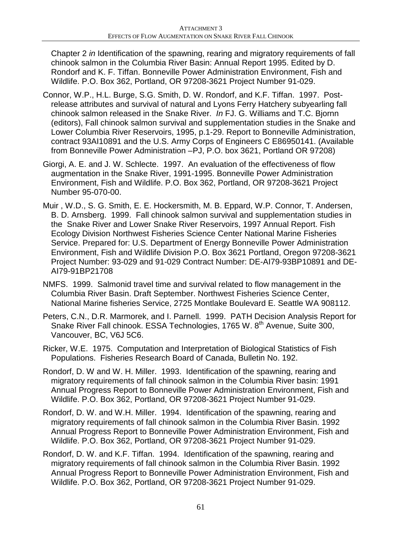Chapter 2 *in* Identification of the spawning, rearing and migratory requirements of fall chinook salmon in the Columbia River Basin: Annual Report 1995. Edited by D. Rondorf and K. F. Tiffan. Bonneville Power Administration Environment, Fish and Wildlife. P.O. Box 362, Portland, OR 97208-3621 Project Number 91-029.

- Connor, W.P., H.L. Burge, S.G. Smith, D. W. Rondorf, and K.F. Tiffan. 1997. Postrelease attributes and survival of natural and Lyons Ferry Hatchery subyearling fall chinook salmon released in the Snake River. *In* FJ. G. Williams and T.C. Bjornn (editors), Fall chinook salmon survival and supplementation studies in the Snake and Lower Columbia River Reservoirs, 1995, p.1-29. Report to Bonneville Administration, contract 93AI10891 and the U.S. Army Corps of Engineers C E86950141. (Available from Bonneville Power Administration –PJ, P.O. box 3621, Portland OR 97208)
- Giorgi, A. E. and J. W. Schlecte. 1997. An evaluation of the effectiveness of flow augmentation in the Snake River, 1991-1995. Bonneville Power Administration Environment, Fish and Wildlife. P.O. Box 362, Portland, OR 97208-3621 Project Number 95-070-00.
- Muir , W.D., S. G. Smith, E. E. Hockersmith, M. B. Eppard, W.P. Connor, T. Andersen, B. D. Arnsberg. 1999. Fall chinook salmon survival and supplementation studies in the Snake River and Lower Snake River Reservoirs, 1997 Annual Report. Fish Ecology Division Northwest Fisheries Science Center National Marine Fisheries Service. Prepared for: U.S. Department of Energy Bonneville Power Administration Environment, Fish and Wildlife Division P.O. Box 3621 Portland, Oregon 97208-3621 Project Number: 93-029 and 91-029 Contract Number: DE-AI79-93BP10891 and DE-AI79-91BP21708
- NMFS. 1999. Salmonid travel time and survival related to flow management in the Columbia River Basin. Draft September. Northwest Fisheries Science Center, National Marine fisheries Service, 2725 Montlake Boulevard E. Seattle WA 908112.
- Peters, C.N., D.R. Marmorek, and I. Parnell. 1999. PATH Decision Analysis Report for Snake River Fall chinook. ESSA Technologies, 1765 W. 8<sup>th</sup> Avenue, Suite 300, Vancouver, BC, V6J 5C6.
- Ricker, W.E. 1975. Computation and Interpretation of Biological Statistics of Fish Populations. Fisheries Research Board of Canada, Bulletin No. 192.
- Rondorf, D. W and W. H. Miller. 1993. Identification of the spawning, rearing and migratory requirements of fall chinook salmon in the Columbia River basin: 1991 Annual Progress Report to Bonneville Power Administration Environment, Fish and Wildlife. P.O. Box 362, Portland, OR 97208-3621 Project Number 91-029.
- Rondorf, D. W. and W.H. Miller. 1994. Identification of the spawning, rearing and migratory requirements of fall chinook salmon in the Columbia River Basin. 1992 Annual Progress Report to Bonneville Power Administration Environment, Fish and Wildlife. P.O. Box 362, Portland, OR 97208-3621 Project Number 91-029.
- Rondorf, D. W. and K.F. Tiffan. 1994. Identification of the spawning, rearing and migratory requirements of fall chinook salmon in the Columbia River Basin. 1992 Annual Progress Report to Bonneville Power Administration Environment, Fish and Wildlife. P.O. Box 362, Portland, OR 97208-3621 Project Number 91-029.